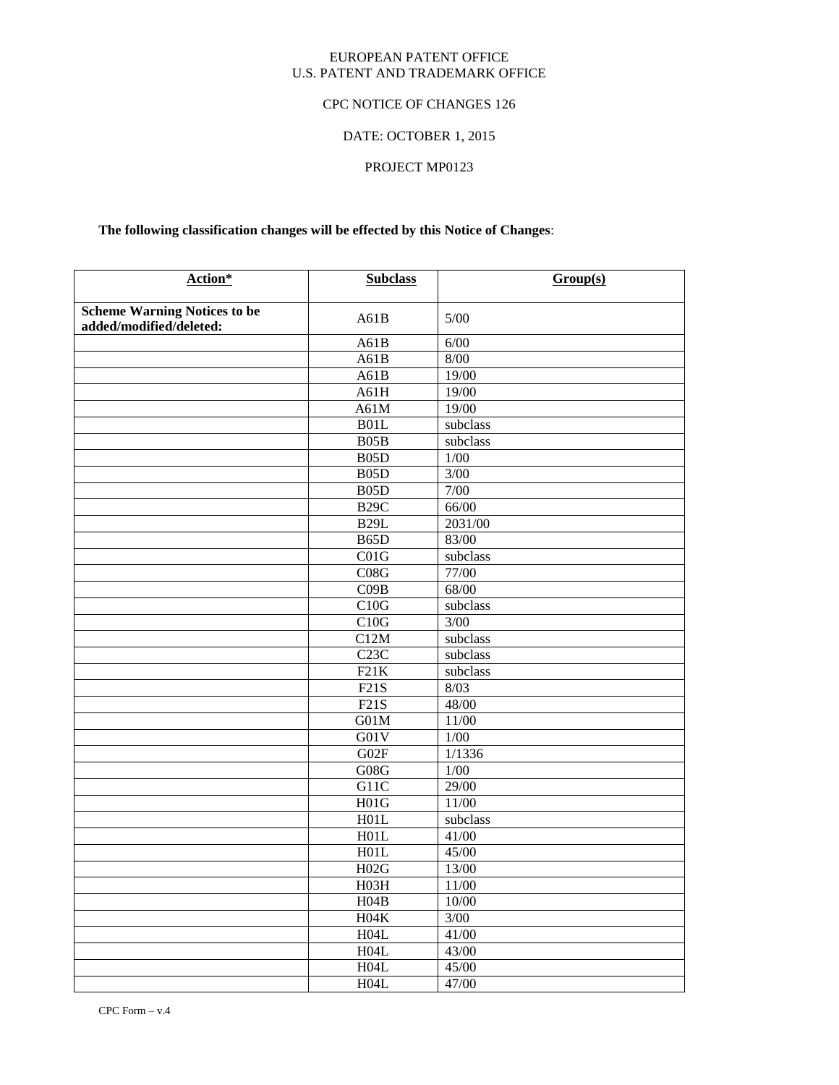### EUROPEAN PATENT OFFICE U.S. PATENT AND TRADEMARK OFFICE

# CPC NOTICE OF CHANGES 126

# DATE: OCTOBER 1, 2015

# PROJECT MP0123

# **The following classification changes will be effected by this Notice of Changes**:

| Action*                                                        | <b>Subclass</b>    | Group(s)                     |
|----------------------------------------------------------------|--------------------|------------------------------|
|                                                                |                    |                              |
| <b>Scheme Warning Notices to be</b><br>added/modified/deleted: | A61B               | $5/00$                       |
|                                                                | A61B               | 6/00                         |
|                                                                | A61B               | $8/00$                       |
|                                                                | A61B               | 19/00                        |
|                                                                | A61H               | 19/00                        |
|                                                                | A61M               | 19/00                        |
|                                                                | B01L               | subclass                     |
|                                                                | B05B               | subclass                     |
|                                                                | B <sub>05</sub> D  | $1/00$                       |
|                                                                | B <sub>05</sub> D  | 3/00                         |
|                                                                | B <sub>05</sub> D  | 7/00                         |
|                                                                | <b>B29C</b>        | 66/00                        |
|                                                                | <b>B29L</b>        | 2031/00                      |
|                                                                | B65D               | 83/00                        |
|                                                                | CO1G               | $\overline{\text{subclass}}$ |
|                                                                | C08G               | $\frac{1}{77}{00}$           |
|                                                                | CO9B               | 68/00                        |
|                                                                | C10G               | subclass                     |
|                                                                | C10G               | 3/00                         |
|                                                                | C12M               | subclass                     |
|                                                                | C23C               | $\overline{\text{subclass}}$ |
|                                                                | F21K               | subclass                     |
|                                                                | F21S               | 8/03                         |
|                                                                | F21S               | 48/00                        |
|                                                                | G01M               | $11/00$                      |
|                                                                | G01V               | $1/00$                       |
|                                                                | G02F               | 1/1336                       |
|                                                                | ${\rm G}08{\rm G}$ | $1/00$                       |
|                                                                | G11C               | 29/00                        |
|                                                                | H01G               | 11/00                        |
|                                                                | H01L               | subclass                     |
|                                                                | H01L               | 41/00                        |
|                                                                | H01L               | 45/00                        |
|                                                                | H02G               | 13/00                        |
|                                                                | H03H               | 11/00                        |
|                                                                | H04B               | $10/00$                      |
|                                                                | $H04K$             | $3/00$                       |
|                                                                | H04L               | 41/00                        |
|                                                                | H04L               | 43/00                        |
|                                                                | H04L               | 45/00                        |
|                                                                | H04L               | 47/00                        |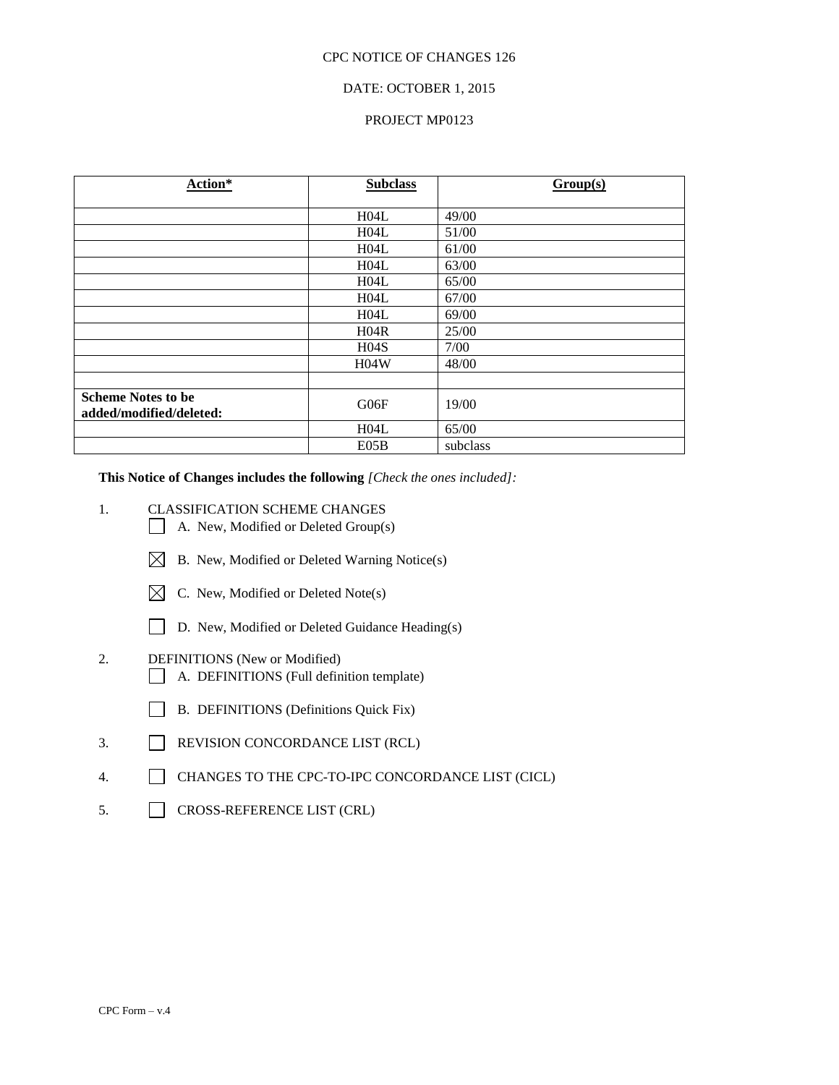# DATE: OCTOBER 1, 2015

### PROJECT MP0123

| Action*                                              | <b>Subclass</b>  | Group(s) |
|------------------------------------------------------|------------------|----------|
|                                                      |                  |          |
|                                                      | H04L             | 49/00    |
|                                                      | H04L             | 51/00    |
|                                                      | H04L             | 61/00    |
|                                                      | H04L             | 63/00    |
|                                                      | H04L             | 65/00    |
|                                                      | H04L             | 67/00    |
|                                                      | H04L             | 69/00    |
|                                                      | H04R             | 25/00    |
|                                                      | H <sub>04S</sub> | 7/00     |
|                                                      | H04W             | 48/00    |
|                                                      |                  |          |
| <b>Scheme Notes to be</b><br>added/modified/deleted: | G06F             | 19/00    |
|                                                      | H04L             | 65/00    |
|                                                      | E05B             | subclass |

**This Notice of Changes includes the following** *[Check the ones included]:*

- 1. CLASSIFICATION SCHEME CHANGES
	- A. New, Modified or Deleted Group(s)
	- $\boxtimes$  B. New, Modified or Deleted Warning Notice(s)
	- $\boxtimes$  C. New, Modified or Deleted Note(s)
	- D. New, Modified or Deleted Guidance Heading(s)
- 2. DEFINITIONS (New or Modified)
	- A. DEFINITIONS (Full definition template)
	- B. DEFINITIONS (Definitions Quick Fix)
- 3. REVISION CONCORDANCE LIST (RCL)
- 4. CHANGES TO THE CPC-TO-IPC CONCORDANCE LIST (CICL)
- 5. CROSS-REFERENCE LIST (CRL)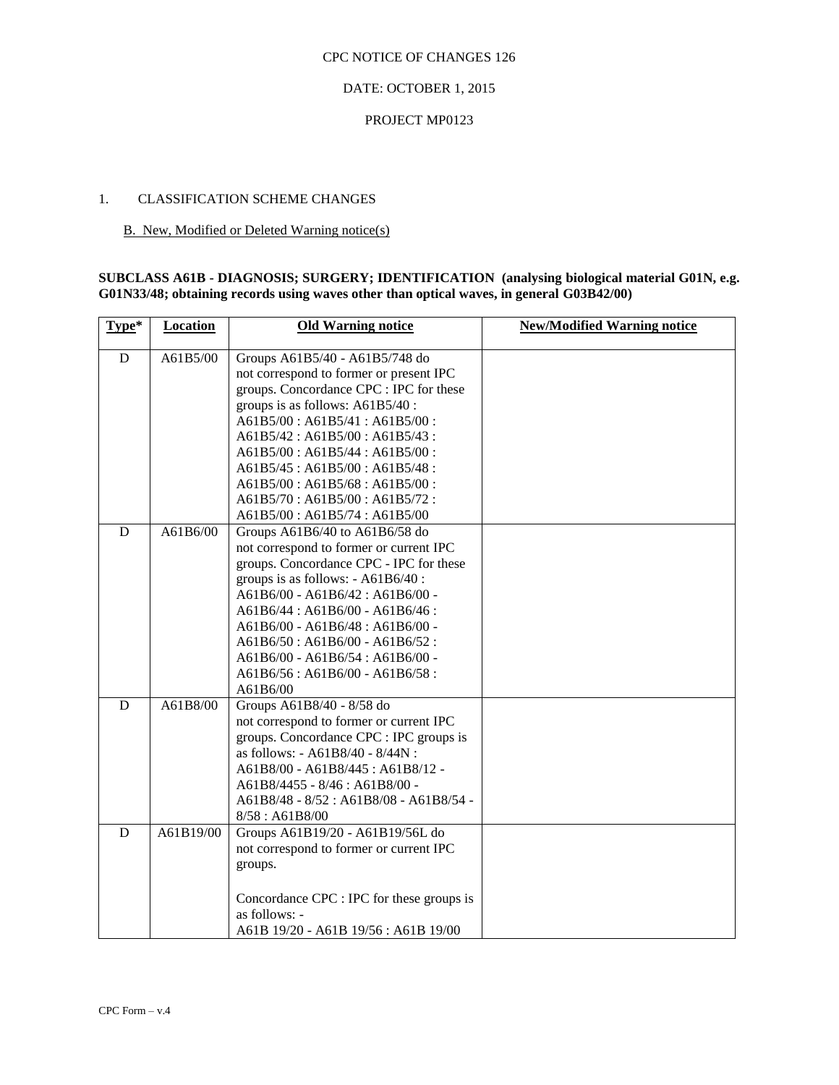# DATE: OCTOBER 1, 2015

### PROJECT MP0123

### 1. CLASSIFICATION SCHEME CHANGES

## B. New, Modified or Deleted Warning notice(s)

### **SUBCLASS A61B - DIAGNOSIS; SURGERY; IDENTIFICATION (analysing biological material G01N, e.g. G01N33/48; obtaining records using waves other than optical waves, in general G03B42/00)**

| Type*       | <b>Location</b> | <b>Old Warning notice</b>                 | <b>New/Modified Warning notice</b> |
|-------------|-----------------|-------------------------------------------|------------------------------------|
| $\mathbf D$ | A61B5/00        | Groups A61B5/40 - A61B5/748 do            |                                    |
|             |                 | not correspond to former or present IPC   |                                    |
|             |                 | groups. Concordance CPC : IPC for these   |                                    |
|             |                 | groups is as follows: A61B5/40 :          |                                    |
|             |                 | $A61B5/00$ : $A61B5/41$ : $A61B5/00$ :    |                                    |
|             |                 | A61B5/42 : A61B5/00 : A61B5/43 :          |                                    |
|             |                 | A61B5/00: A61B5/44: A61B5/00:             |                                    |
|             |                 | A61B5/45 : A61B5/00 : A61B5/48 :          |                                    |
|             |                 | A61B5/00: A61B5/68: A61B5/00:             |                                    |
|             |                 | $A61B5/70$ : $A61B5/00$ : $A61B5/72$ :    |                                    |
|             |                 | A61B5/00: A61B5/74: A61B5/00              |                                    |
| D           | A61B6/00        | Groups A61B6/40 to A61B6/58 do            |                                    |
|             |                 | not correspond to former or current IPC   |                                    |
|             |                 | groups. Concordance CPC - IPC for these   |                                    |
|             |                 | groups is as follows: - A61B6/40:         |                                    |
|             |                 | A61B6/00 - A61B6/42: A61B6/00 -           |                                    |
|             |                 | A61B6/44: A61B6/00 - A61B6/46:            |                                    |
|             |                 | $A61B6/00 - A61B6/48$ : $A61B6/00 -$      |                                    |
|             |                 | $A61B6/50$ : $A61B6/00 - A61B6/52$ :      |                                    |
|             |                 | $A61B6/00 - A61B6/54$ : $A61B6/00 -$      |                                    |
|             |                 | A61B6/56: A61B6/00 - A61B6/58:            |                                    |
|             |                 | A61B6/00                                  |                                    |
| D           | A61B8/00        | Groups A61B8/40 - 8/58 do                 |                                    |
|             |                 | not correspond to former or current IPC   |                                    |
|             |                 | groups. Concordance CPC : IPC groups is   |                                    |
|             |                 | as follows: - A61B8/40 - 8/44N :          |                                    |
|             |                 | A61B8/00 - A61B8/445 : A61B8/12 -         |                                    |
|             |                 | A61B8/4455 - 8/46 : A61B8/00 -            |                                    |
|             |                 | A61B8/48 - 8/52 : A61B8/08 - A61B8/54 -   |                                    |
|             |                 | 8/58: A61B8/00                            |                                    |
| D           | A61B19/00       | Groups A61B19/20 - A61B19/56L do          |                                    |
|             |                 | not correspond to former or current IPC   |                                    |
|             |                 | groups.                                   |                                    |
|             |                 |                                           |                                    |
|             |                 | Concordance CPC : IPC for these groups is |                                    |
|             |                 | as follows: -                             |                                    |
|             |                 | A61B 19/20 - A61B 19/56 : A61B 19/00      |                                    |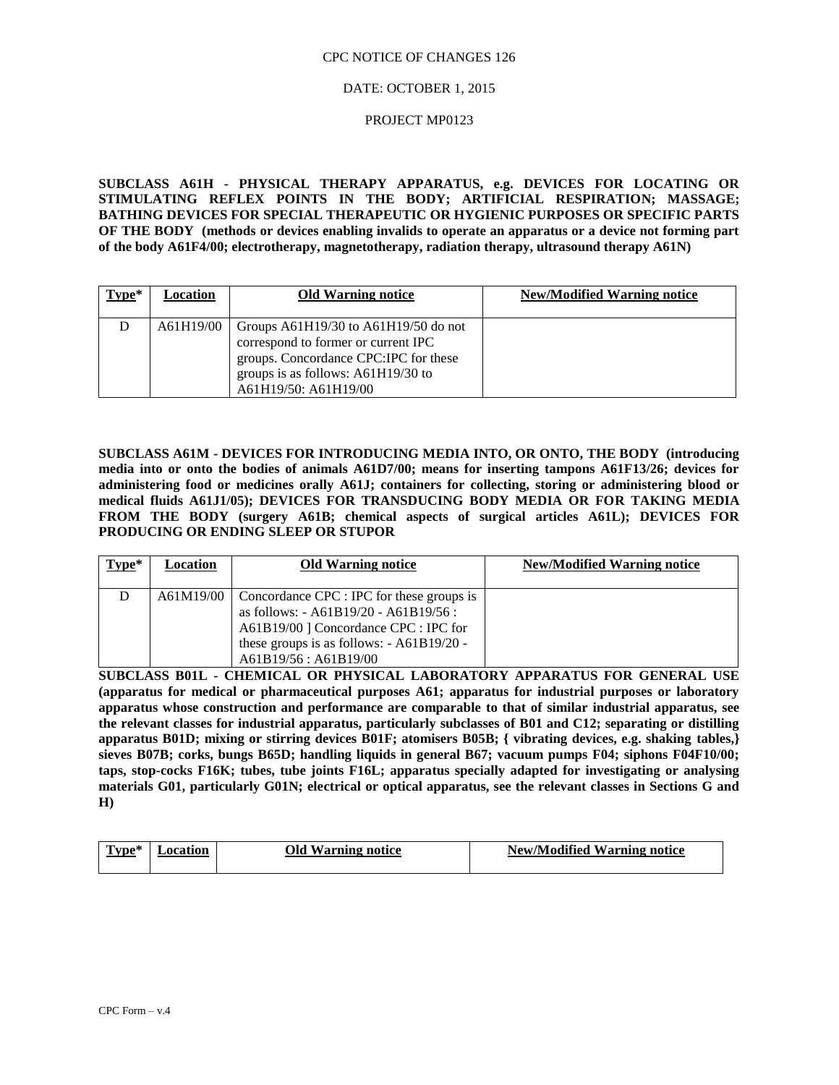### DATE: OCTOBER 1, 2015

#### PROJECT MP0123

**SUBCLASS A61H - PHYSICAL THERAPY APPARATUS, e.g. DEVICES FOR LOCATING OR STIMULATING REFLEX POINTS IN THE BODY; ARTIFICIAL RESPIRATION; MASSAGE; BATHING DEVICES FOR SPECIAL THERAPEUTIC OR HYGIENIC PURPOSES OR SPECIFIC PARTS OF THE BODY (methods or devices enabling invalids to operate an apparatus or a device not forming part of the body A61F4/00; electrotherapy, magnetotherapy, radiation therapy, ultrasound therapy A61N)**

| $Type*$ | Location  | <b>Old Warning notice</b>                                                                                                                                                              | <b>New/Modified Warning notice</b> |
|---------|-----------|----------------------------------------------------------------------------------------------------------------------------------------------------------------------------------------|------------------------------------|
|         | A61H19/00 | Groups $A61H19/30$ to $A61H19/50$ do not<br>correspond to former or current IPC<br>groups. Concordance CPC:IPC for these<br>groups is as follows: A61H19/30 to<br>A61H19/50: A61H19/00 |                                    |

**SUBCLASS A61M - DEVICES FOR INTRODUCING MEDIA INTO, OR ONTO, THE BODY (introducing media into or onto the bodies of animals A61D7/00; means for inserting tampons A61F13/26; devices for administering food or medicines orally A61J; containers for collecting, storing or administering blood or medical fluids A61J1/05); DEVICES FOR TRANSDUCING BODY MEDIA OR FOR TAKING MEDIA FROM THE BODY (surgery A61B; chemical aspects of surgical articles A61L); DEVICES FOR PRODUCING OR ENDING SLEEP OR STUPOR**

| $Type*$ | Location | <b>Old Warning notice</b>                                                                                                                                                                                                 | <b>New/Modified Warning notice</b> |
|---------|----------|---------------------------------------------------------------------------------------------------------------------------------------------------------------------------------------------------------------------------|------------------------------------|
|         |          | $A61M19/00$   Concordance CPC : IPC for these groups is<br>as follows: $-$ A61B19/20 $-$ A61B19/56 :<br>A61B19/00   Concordance CPC : IPC for<br>these groups is as follows: $-$ A61B19/20 -<br>$A61B19/56$ : $A61B19/00$ |                                    |

**SUBCLASS B01L - CHEMICAL OR PHYSICAL LABORATORY APPARATUS FOR GENERAL USE (apparatus for medical or pharmaceutical purposes A61; apparatus for industrial purposes or laboratory apparatus whose construction and performance are comparable to that of similar industrial apparatus, see the relevant classes for industrial apparatus, particularly subclasses of B01 and C12; separating or distilling apparatus B01D; mixing or stirring devices B01F; atomisers B05B; { vibrating devices, e.g. shaking tables,} sieves B07B; corks, bungs B65D; handling liquids in general B67; vacuum pumps F04; siphons F04F10/00; taps, stop-cocks F16K; tubes, tube joints F16L; apparatus specially adapted for investigating or analysing materials G01, particularly G01N; electrical or optical apparatus, see the relevant classes in Sections G and H)**

| $\bf{Type*}$ | ocation | <b>Old Warning notice</b> | <b>New/Modified Warning notice</b> |
|--------------|---------|---------------------------|------------------------------------|
|              |         |                           |                                    |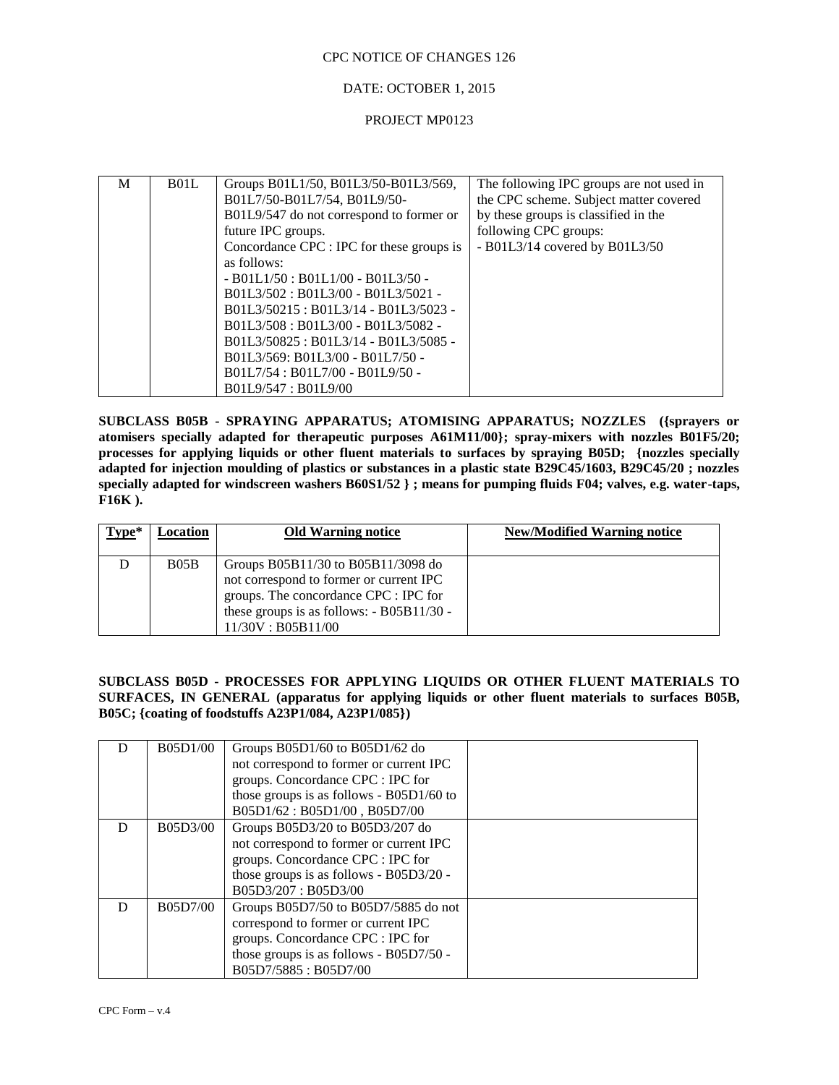### DATE: OCTOBER 1, 2015

#### PROJECT MP0123

| M | B <sub>01</sub> L | Groups B01L1/50, B01L3/50-B01L3/569,      | The following IPC groups are not used in |
|---|-------------------|-------------------------------------------|------------------------------------------|
|   |                   | B01L7/50-B01L7/54, B01L9/50-              | the CPC scheme. Subject matter covered   |
|   |                   | B01L9/547 do not correspond to former or  | by these groups is classified in the     |
|   |                   | future IPC groups.                        | following CPC groups:                    |
|   |                   | Concordance CPC : IPC for these groups is | - B01L3/14 covered by B01L3/50           |
|   |                   | as follows:                               |                                          |
|   |                   | $-$ B01L1/50 : B01L1/00 - B01L3/50 -      |                                          |
|   |                   | B01L3/502: B01L3/00 - B01L3/5021 -        |                                          |
|   |                   | B01L3/50215: B01L3/14 - B01L3/5023 -      |                                          |
|   |                   | B01L3/508 : B01L3/00 - B01L3/5082 -       |                                          |
|   |                   | B01L3/50825 : B01L3/14 - B01L3/5085 -     |                                          |
|   |                   | B01L3/569: B01L3/00 - B01L7/50 -          |                                          |
|   |                   | B01L7/54 : B01L7/00 - B01L9/50 -          |                                          |
|   |                   | B01L9/547 : B01L9/00                      |                                          |

**SUBCLASS B05B - SPRAYING APPARATUS; ATOMISING APPARATUS; NOZZLES ({sprayers or atomisers specially adapted for therapeutic purposes A61M11/00}; spray-mixers with nozzles B01F5/20; processes for applying liquids or other fluent materials to surfaces by spraying B05D; {nozzles specially adapted for injection moulding of plastics or substances in a plastic state B29C45/1603, B29C45/20 ; nozzles specially adapted for windscreen washers B60S1/52 } ; means for pumping fluids F04; valves, e.g. water-taps, F16K ).**

| $Type*$ | Location | <b>Old Warning notice</b>                                                                                                                                                                     | <b>New/Modified Warning notice</b> |
|---------|----------|-----------------------------------------------------------------------------------------------------------------------------------------------------------------------------------------------|------------------------------------|
|         | B05B     | Groups $B05B11/30$ to $B05B11/3098$ do<br>not correspond to former or current IPC<br>groups. The concordance CPC : IPC for<br>these groups is as follows: - B05B11/30 -<br>11/30V : B05B11/00 |                                    |

### **SUBCLASS B05D - PROCESSES FOR APPLYING LIQUIDS OR OTHER FLUENT MATERIALS TO SURFACES, IN GENERAL (apparatus for applying liquids or other fluent materials to surfaces B05B, B05C; {coating of foodstuffs A23P1/084, A23P1/085})**

|   | B05D1/00 | Groups $B05D1/60$ to $B05D1/62$ do<br>not correspond to former or current IPC<br>groups. Concordance CPC : IPC for                                                                     |  |
|---|----------|----------------------------------------------------------------------------------------------------------------------------------------------------------------------------------------|--|
|   |          | those groups is as follows - $B05D1/60$ to<br>B05D1/62: B05D1/00, B05D7/00                                                                                                             |  |
|   | B05D3/00 | Groups B05D3/20 to B05D3/207 do<br>not correspond to former or current IPC<br>groups. Concordance CPC : IPC for<br>those groups is as follows - B05D3/20 -<br>B05D3/207: B05D3/00      |  |
| D | B05D7/00 | Groups B05D7/50 to B05D7/5885 do not<br>correspond to former or current IPC<br>groups. Concordance CPC : IPC for<br>those groups is as follows - $B05D7/50$ -<br>B05D7/5885 : B05D7/00 |  |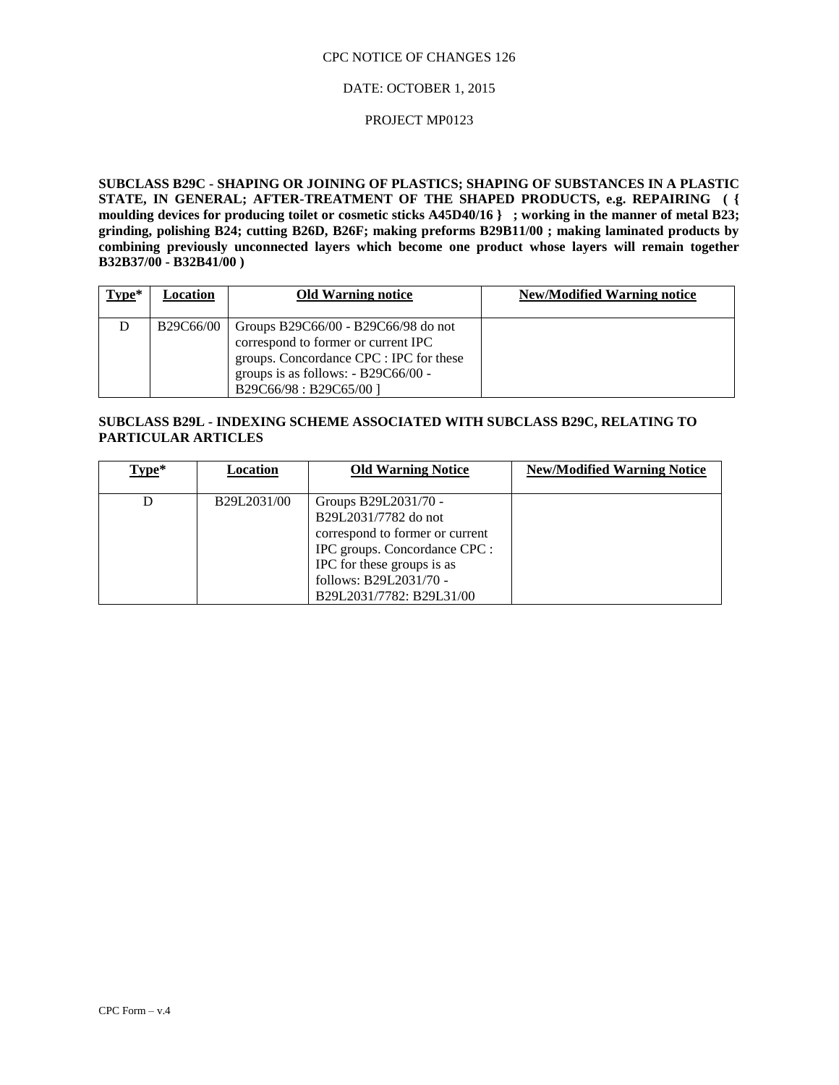### DATE: OCTOBER 1, 2015

### PROJECT MP0123

**SUBCLASS B29C - SHAPING OR JOINING OF PLASTICS; SHAPING OF SUBSTANCES IN A PLASTIC STATE, IN GENERAL; AFTER-TREATMENT OF THE SHAPED PRODUCTS, e.g. REPAIRING ( { moulding devices for producing toilet or cosmetic sticks A45D40/16 } ; working in the manner of metal B23; grinding, polishing B24; cutting B26D, B26F; making preforms B29B11/00 ; making laminated products by combining previously unconnected layers which become one product whose layers will remain together B32B37/00 - B32B41/00 )**

| $Type*$ | Location  | <b>Old Warning notice</b>                                                                                                                                                                | <b>New/Modified Warning notice</b> |
|---------|-----------|------------------------------------------------------------------------------------------------------------------------------------------------------------------------------------------|------------------------------------|
| D       | B29C66/00 | Groups B29C66/00 - B29C66/98 do not<br>correspond to former or current IPC<br>groups. Concordance CPC : IPC for these<br>groups is as follows: $- B29C66/00 -$<br>B29C66/98: B29C65/00 ] |                                    |

# **SUBCLASS B29L - INDEXING SCHEME ASSOCIATED WITH SUBCLASS B29C, RELATING TO PARTICULAR ARTICLES**

| $Type*$ | Location    | <b>Old Warning Notice</b>                                                                                                                                                                            | <b>New/Modified Warning Notice</b> |
|---------|-------------|------------------------------------------------------------------------------------------------------------------------------------------------------------------------------------------------------|------------------------------------|
|         | B29L2031/00 | Groups B29L2031/70 -<br>B29L2031/7782 do not<br>correspond to former or current<br>IPC groups. Concordance CPC :<br>IPC for these groups is as<br>follows: B29L2031/70 -<br>B29L2031/7782: B29L31/00 |                                    |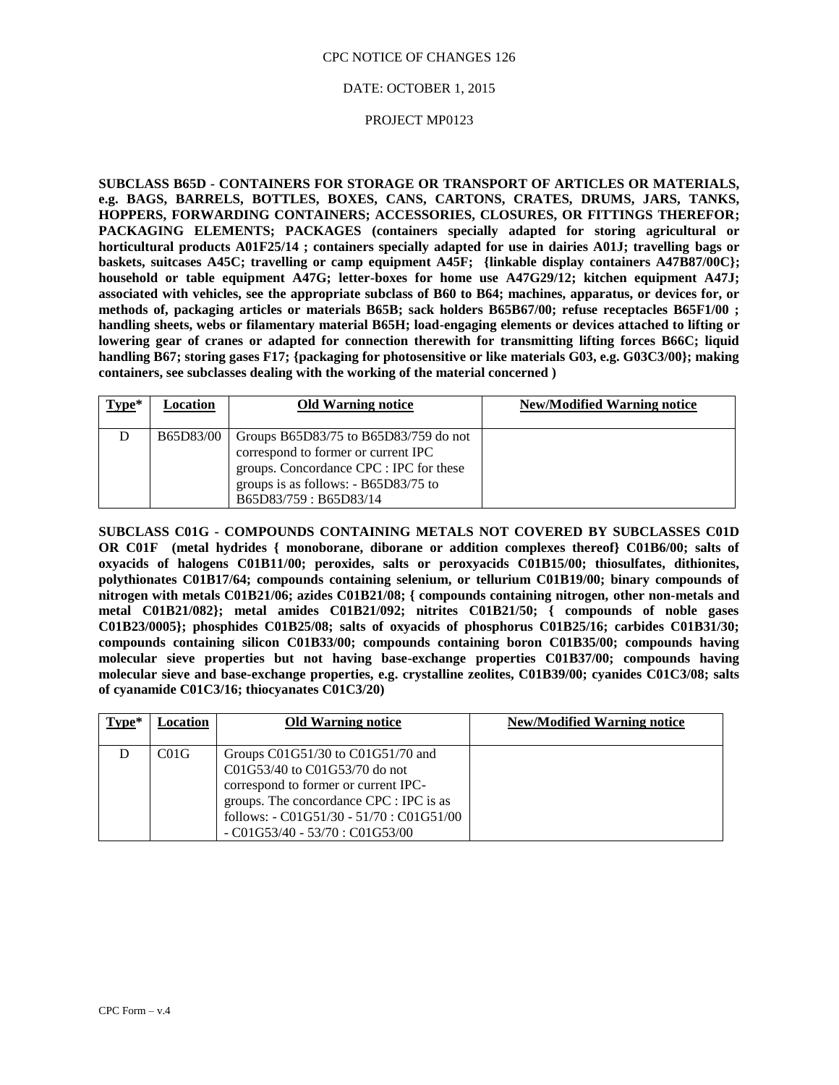### DATE: OCTOBER 1, 2015

### PROJECT MP0123

**SUBCLASS B65D - CONTAINERS FOR STORAGE OR TRANSPORT OF ARTICLES OR MATERIALS, e.g. BAGS, BARRELS, BOTTLES, BOXES, CANS, CARTONS, CRATES, DRUMS, JARS, TANKS, HOPPERS, FORWARDING CONTAINERS; ACCESSORIES, CLOSURES, OR FITTINGS THEREFOR; PACKAGING ELEMENTS; PACKAGES (containers specially adapted for storing agricultural or horticultural products A01F25/14 ; containers specially adapted for use in dairies A01J; travelling bags or baskets, suitcases A45C; travelling or camp equipment A45F; {linkable display containers A47B87/00C}; household or table equipment A47G; letter-boxes for home use A47G29/12; kitchen equipment A47J; associated with vehicles, see the appropriate subclass of B60 to B64; machines, apparatus, or devices for, or methods of, packaging articles or materials B65B; sack holders B65B67/00; refuse receptacles B65F1/00 ; handling sheets, webs or filamentary material B65H; load-engaging elements or devices attached to lifting or lowering gear of cranes or adapted for connection therewith for transmitting lifting forces B66C; liquid handling B67; storing gases F17; {packaging for photosensitive or like materials G03, e.g. G03C3/00}; making containers, see subclasses dealing with the working of the material concerned )**

| $Type*$ | Location  | <b>Old Warning notice</b>                                                                                                                                                                       | <b>New/Modified Warning notice</b> |
|---------|-----------|-------------------------------------------------------------------------------------------------------------------------------------------------------------------------------------------------|------------------------------------|
|         | B65D83/00 | Groups $B65D83/75$ to $B65D83/759$ do not<br>correspond to former or current IPC<br>groups. Concordance CPC : IPC for these<br>groups is as follows: $- B65D83/75$ to<br>B65D83/759 : B65D83/14 |                                    |

**SUBCLASS C01G - COMPOUNDS CONTAINING METALS NOT COVERED BY SUBCLASSES C01D OR C01F (metal hydrides { monoborane, diborane or addition complexes thereof} C01B6/00; salts of oxyacids of halogens C01B11/00; peroxides, salts or peroxyacids C01B15/00; thiosulfates, dithionites, polythionates C01B17/64; compounds containing selenium, or tellurium C01B19/00; binary compounds of nitrogen with metals C01B21/06; azides C01B21/08; { compounds containing nitrogen, other non-metals and metal C01B21/082}; metal amides C01B21/092; nitrites C01B21/50; { compounds of noble gases C01B23/0005}; phosphides C01B25/08; salts of oxyacids of phosphorus C01B25/16; carbides C01B31/30; compounds containing silicon C01B33/00; compounds containing boron C01B35/00; compounds having molecular sieve properties but not having base-exchange properties C01B37/00; compounds having molecular sieve and base-exchange properties, e.g. crystalline zeolites, C01B39/00; cyanides C01C3/08; salts of cyanamide C01C3/16; thiocyanates C01C3/20)**

| $Type*$ | Location | <b>Old Warning notice</b>                                                                                                                                                                                                                         | <b>New/Modified Warning notice</b> |
|---------|----------|---------------------------------------------------------------------------------------------------------------------------------------------------------------------------------------------------------------------------------------------------|------------------------------------|
|         | CO1G     | Groups $C01G51/30$ to $C01G51/70$ and<br>$C01G53/40$ to $C01G53/70$ do not<br>correspond to former or current IPC-<br>groups. The concordance CPC : IPC is as<br>follows: $-$ C01G51/30 $-$ 51/70 : C01G51/00<br>$-C01G53/40 - 53/70$ : C01G53/00 |                                    |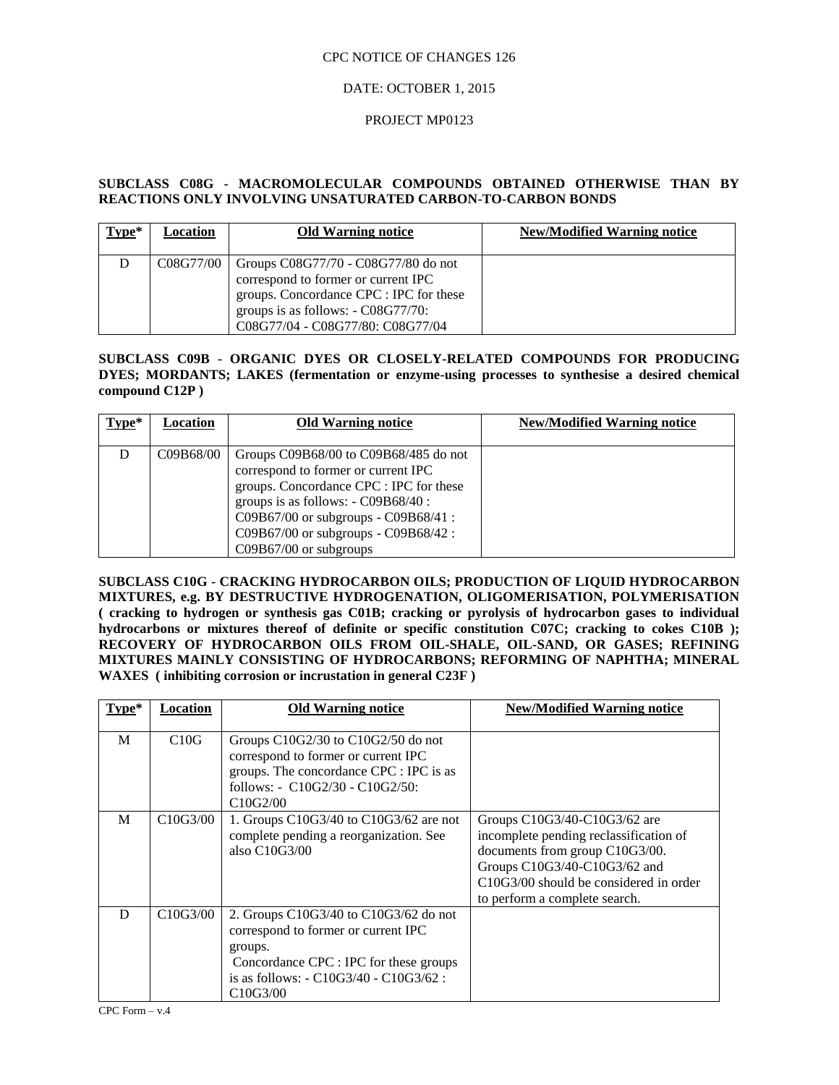### DATE: OCTOBER 1, 2015

### PROJECT MP0123

### **SUBCLASS C08G - MACROMOLECULAR COMPOUNDS OBTAINED OTHERWISE THAN BY REACTIONS ONLY INVOLVING UNSATURATED CARBON-TO-CARBON BONDS**

| $Type*$ | Location  | <b>Old Warning notice</b>                                                                                                                                                                         | <b>New/Modified Warning notice</b> |
|---------|-----------|---------------------------------------------------------------------------------------------------------------------------------------------------------------------------------------------------|------------------------------------|
| D       | C08G77/00 | Groups C08G77/70 - C08G77/80 do not<br>correspond to former or current IPC<br>groups. Concordance CPC : IPC for these<br>groups is as follows: $-C08G77/70$ :<br>C08G77/04 - C08G77/80: C08G77/04 |                                    |

### **SUBCLASS C09B - ORGANIC DYES OR CLOSELY-RELATED COMPOUNDS FOR PRODUCING DYES; MORDANTS; LAKES (fermentation or enzyme-using processes to synthesise a desired chemical compound C12P )**

| $Type*$ | Location  | <b>Old Warning notice</b>                 | <b>New/Modified Warning notice</b> |
|---------|-----------|-------------------------------------------|------------------------------------|
|         |           |                                           |                                    |
|         | C09B68/00 | Groups $C09B68/00$ to $C09B68/485$ do not |                                    |
|         |           | correspond to former or current IPC       |                                    |
|         |           | groups. Concordance CPC : IPC for these   |                                    |
|         |           | groups is as follows: $-C09B68/40$ :      |                                    |
|         |           | C09B67/00 or subgroups - C09B68/41 :      |                                    |
|         |           | C09B67/00 or subgroups - C09B68/42 :      |                                    |
|         |           | $C09B67/00$ or subgroups                  |                                    |

**SUBCLASS C10G - CRACKING HYDROCARBON OILS; PRODUCTION OF LIQUID HYDROCARBON MIXTURES, e.g. BY DESTRUCTIVE HYDROGENATION, OLIGOMERISATION, POLYMERISATION ( cracking to hydrogen or synthesis gas C01B; cracking or pyrolysis of hydrocarbon gases to individual hydrocarbons or mixtures thereof of definite or specific constitution C07C; cracking to cokes C10B ); RECOVERY OF HYDROCARBON OILS FROM OIL-SHALE, OIL-SAND, OR GASES; REFINING MIXTURES MAINLY CONSISTING OF HYDROCARBONS; REFORMING OF NAPHTHA; MINERAL WAXES ( inhibiting corrosion or incrustation in general C23F )**

| Type* | Location                           | <b>Old Warning notice</b>                                                                                                                                                                                               | <b>New/Modified Warning notice</b>                                                                                                                                                                                    |
|-------|------------------------------------|-------------------------------------------------------------------------------------------------------------------------------------------------------------------------------------------------------------------------|-----------------------------------------------------------------------------------------------------------------------------------------------------------------------------------------------------------------------|
| M     | C10G                               | Groups $C10G2/30$ to $C10G2/50$ do not<br>correspond to former or current IPC<br>groups. The concordance CPC : IPC is as<br>follows: - C10G2/30 - C10G2/50:<br>C <sub>10</sub> G <sub>2</sub> /00                       |                                                                                                                                                                                                                       |
| M     | C10G3/00                           | 1. Groups $C10G3/40$ to $C10G3/62$ are not<br>complete pending a reorganization. See<br>also $C10G3/00$                                                                                                                 | Groups C10G3/40-C10G3/62 are<br>incomplete pending reclassification of<br>documents from group C10G3/00.<br>Groups C10G3/40-C10G3/62 and<br>$C10G3/00$ should be considered in order<br>to perform a complete search. |
| D     | C <sub>10</sub> G <sub>3</sub> /00 | 2. Groups $C10G3/40$ to $C10G3/62$ do not<br>correspond to former or current IPC<br>groups.<br>Concordance CPC : IPC for these groups<br>is as follows: $- C10G3/40 - C10G3/62$ :<br>C <sub>10</sub> G <sub>3</sub> /00 |                                                                                                                                                                                                                       |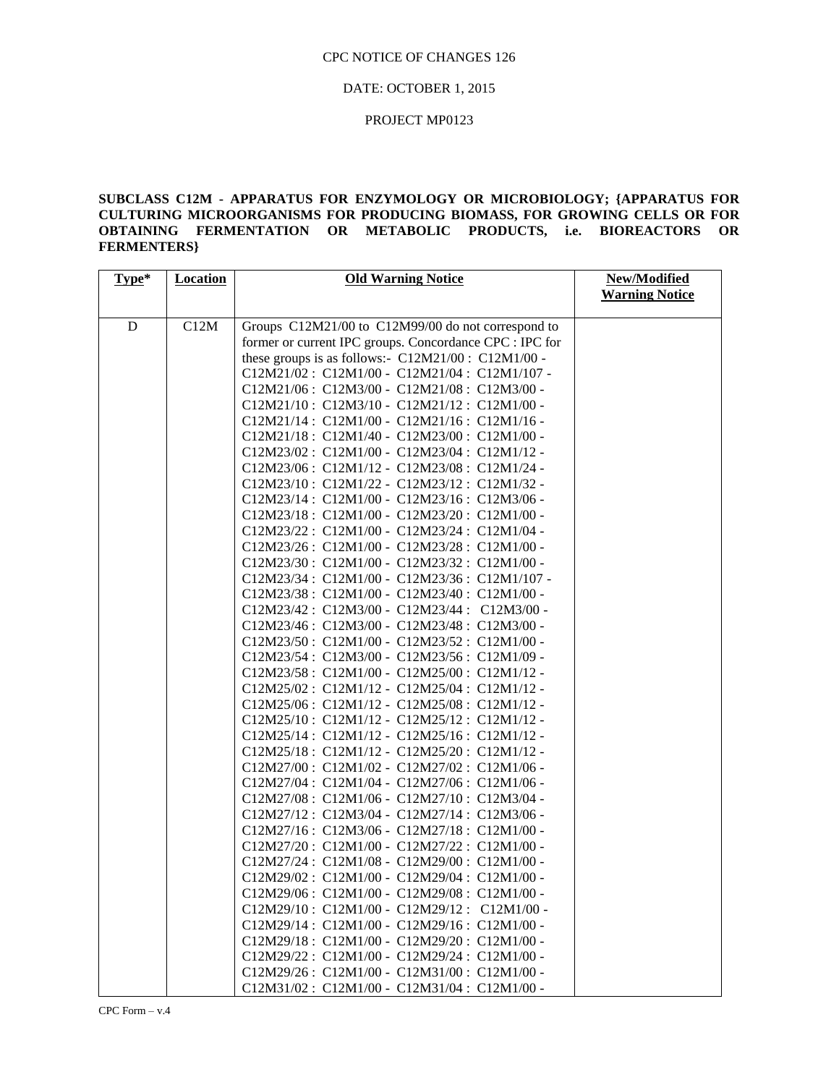### DATE: OCTOBER 1, 2015

### PROJECT MP0123

# **SUBCLASS C12M - APPARATUS FOR ENZYMOLOGY OR MICROBIOLOGY; {APPARATUS FOR CULTURING MICROORGANISMS FOR PRODUCING BIOMASS, FOR GROWING CELLS OR FOR OBTAINING FERMENTATION OR METABOLIC PRODUCTS, i.e. BIOREACTORS OR FERMENTERS}**

| Type* | <b>Location</b> | <b>Old Warning Notice</b>                                                                  | New/Modified          |
|-------|-----------------|--------------------------------------------------------------------------------------------|-----------------------|
|       |                 |                                                                                            | <b>Warning Notice</b> |
|       |                 |                                                                                            |                       |
| D     | C12M            | Groups C12M21/00 to C12M99/00 do not correspond to                                         |                       |
|       |                 | former or current IPC groups. Concordance CPC : IPC for                                    |                       |
|       |                 | these groups is as follows:- $C12M21/00$ : $C12M1/00$ -                                    |                       |
|       |                 | C12M21/02: C12M1/00 - C12M21/04: C12M1/107 -                                               |                       |
|       |                 | C12M21/06: C12M3/00 - C12M21/08: C12M3/00 -                                                |                       |
|       |                 | C12M21/10: C12M3/10 - C12M21/12: C12M1/00 -                                                |                       |
|       |                 | C12M21/14: C12M1/00 - C12M21/16: C12M1/16 -                                                |                       |
|       |                 | C12M21/18: C12M1/40 - C12M23/00: C12M1/00 -                                                |                       |
|       |                 | C12M23/02: C12M1/00 - C12M23/04: C12M1/12 -                                                |                       |
|       |                 | C12M23/06: C12M1/12 - C12M23/08: C12M1/24 -                                                |                       |
|       |                 | C12M23/10: C12M1/22 - C12M23/12: C12M1/32 -                                                |                       |
|       |                 | C12M23/14: C12M1/00 - C12M23/16: C12M3/06 -                                                |                       |
|       |                 | C12M23/18: C12M1/00 - C12M23/20: C12M1/00 -                                                |                       |
|       |                 | C12M23/22: C12M1/00 - C12M23/24: C12M1/04 -                                                |                       |
|       |                 | C12M23/26: C12M1/00 - C12M23/28: C12M1/00 -                                                |                       |
|       |                 | C12M23/30: C12M1/00 - C12M23/32: C12M1/00 -                                                |                       |
|       |                 | C12M23/34: C12M1/00 - C12M23/36: C12M1/107 -                                               |                       |
|       |                 | C12M23/38: C12M1/00 - C12M23/40: C12M1/00 -                                                |                       |
|       |                 | C12M23/42: C12M3/00 - C12M23/44: C12M3/00 -                                                |                       |
|       |                 | C12M23/46: C12M3/00 - C12M23/48: C12M3/00 -                                                |                       |
|       |                 | C12M23/50: C12M1/00 - C12M23/52: C12M1/00 -                                                |                       |
|       |                 | C12M23/54: C12M3/00 - C12M23/56: C12M1/09 -                                                |                       |
|       |                 | C12M23/58: C12M1/00 - C12M25/00: C12M1/12 -                                                |                       |
|       |                 | C12M25/02: C12M1/12 - C12M25/04: C12M1/12 -                                                |                       |
|       |                 | C12M25/06: C12M1/12 - C12M25/08: C12M1/12 -                                                |                       |
|       |                 | C12M25/10: C12M1/12 - C12M25/12: C12M1/12 -                                                |                       |
|       |                 | C12M25/14: C12M1/12 - C12M25/16: C12M1/12 -                                                |                       |
|       |                 | C12M25/18: C12M1/12 - C12M25/20: C12M1/12 -                                                |                       |
|       |                 | C12M27/00: C12M1/02 - C12M27/02: C12M1/06 -                                                |                       |
|       |                 | C12M27/04: C12M1/04 - C12M27/06: C12M1/06 -                                                |                       |
|       |                 | C12M27/08: C12M1/06 - C12M27/10: C12M3/04 -                                                |                       |
|       |                 | C12M27/12: C12M3/04 - C12M27/14: C12M3/06 -                                                |                       |
|       |                 | C12M27/16: C12M3/06 - C12M27/18: C12M1/00 -                                                |                       |
|       |                 | C12M27/20: C12M1/00 - C12M27/22: C12M1/00 -                                                |                       |
|       |                 | C12M27/24: C12M1/08 - C12M29/00: C12M1/00 -                                                |                       |
|       |                 | C12M29/02: C12M1/00 - C12M29/04: C12M1/00 -                                                |                       |
|       |                 | C12M29/06: C12M1/00 - C12M29/08: C12M1/00 -                                                |                       |
|       |                 | $C12M29/10$ : $C12M1/00 - C12M29/12$ : $C12M1/00 - C12M29/12$                              |                       |
|       |                 | $C12M29/14$ : $C12M1/00 - C12M29/16$ : $C12M1/00 - C12M29/16$                              |                       |
|       |                 | C12M29/18: C12M1/00 - C12M29/20: C12M1/00 -<br>C12M29/22: C12M1/00 - C12M29/24: C12M1/00 - |                       |
|       |                 | C12M29/26: C12M1/00 - C12M31/00: C12M1/00 -                                                |                       |
|       |                 | C12M31/02: C12M1/00 - C12M31/04: C12M1/00 -                                                |                       |
|       |                 |                                                                                            |                       |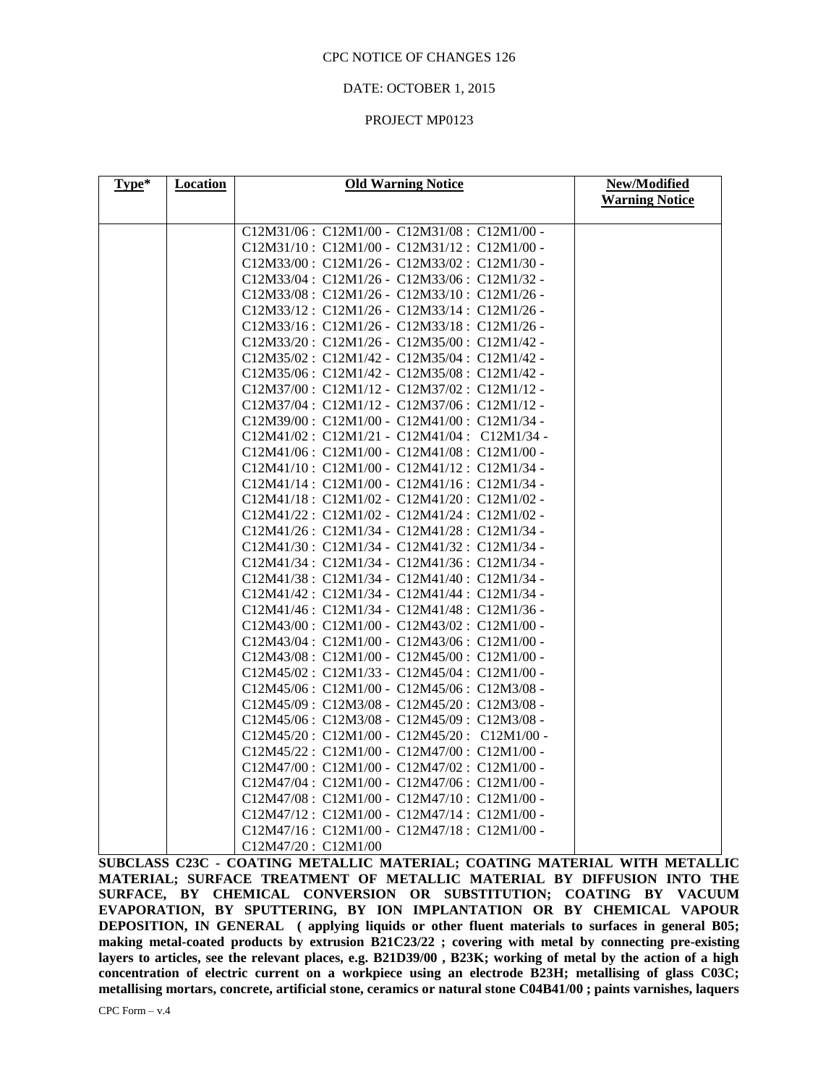### DATE: OCTOBER 1, 2015

### PROJECT MP0123

| Type* | <b>Location</b> | <b>Old Warning Notice</b>                                                                  | New/Modified          |
|-------|-----------------|--------------------------------------------------------------------------------------------|-----------------------|
|       |                 |                                                                                            | <b>Warning Notice</b> |
|       |                 | C12M31/06: C12M1/00 - C12M31/08: C12M1/00 -                                                |                       |
|       |                 | C12M31/10: C12M1/00 - C12M31/12: C12M1/00 -                                                |                       |
|       |                 | C12M33/00: C12M1/26 - C12M33/02: C12M1/30 -                                                |                       |
|       |                 | C12M33/04: C12M1/26 - C12M33/06: C12M1/32 -                                                |                       |
|       |                 | C12M33/08: C12M1/26 - C12M33/10: C12M1/26 -                                                |                       |
|       |                 | C12M33/12: C12M1/26 - C12M33/14: C12M1/26 -                                                |                       |
|       |                 | C12M33/16: C12M1/26 - C12M33/18: C12M1/26 -                                                |                       |
|       |                 | C12M33/20: C12M1/26 - C12M35/00: C12M1/42 -                                                |                       |
|       |                 | C12M35/02: C12M1/42 - C12M35/04: C12M1/42 -                                                |                       |
|       |                 | C12M35/06: C12M1/42 - C12M35/08: C12M1/42 -                                                |                       |
|       |                 | C12M37/00: C12M1/12 - C12M37/02: C12M1/12 -                                                |                       |
|       |                 | C12M37/04: C12M1/12 - C12M37/06: C12M1/12 -                                                |                       |
|       |                 | C12M39/00: C12M1/00 - C12M41/00: C12M1/34 -                                                |                       |
|       |                 | C12M41/02: C12M1/21 - C12M41/04: C12M1/34 -                                                |                       |
|       |                 | C12M41/06: C12M1/00 - C12M41/08: C12M1/00 -                                                |                       |
|       |                 | C12M41/10: C12M1/00 - C12M41/12: C12M1/34 -                                                |                       |
|       |                 | C12M41/14: C12M1/00 - C12M41/16: C12M1/34 -                                                |                       |
|       |                 | C12M41/18: C12M1/02 - C12M41/20: C12M1/02 -                                                |                       |
|       |                 | C12M41/22: C12M1/02 - C12M41/24: C12M1/02 -                                                |                       |
|       |                 | C12M41/26: C12M1/34 - C12M41/28: C12M1/34 -                                                |                       |
|       |                 | C12M41/30: C12M1/34 - C12M41/32: C12M1/34 -                                                |                       |
|       |                 | C12M41/34: C12M1/34 - C12M41/36: C12M1/34 -                                                |                       |
|       |                 | C12M41/38: C12M1/34 - C12M41/40: C12M1/34 -                                                |                       |
|       |                 | C12M41/42: C12M1/34 - C12M41/44: C12M1/34 -                                                |                       |
|       |                 | C12M41/46: C12M1/34 - C12M41/48: C12M1/36 -                                                |                       |
|       |                 | C12M43/00: C12M1/00 - C12M43/02: C12M1/00 -                                                |                       |
|       |                 | C12M43/04: C12M1/00 - C12M43/06: C12M1/00 -                                                |                       |
|       |                 | C12M43/08: C12M1/00 - C12M45/00: C12M1/00 -                                                |                       |
|       |                 | C12M45/02: C12M1/33 - C12M45/04: C12M1/00 -                                                |                       |
|       |                 | C12M45/06: C12M1/00 - C12M45/06: C12M3/08 -                                                |                       |
|       |                 | C12M45/09: C12M3/08 - C12M45/20: C12M3/08 -                                                |                       |
|       |                 | C12M45/06: C12M3/08 - C12M45/09: C12M3/08 -<br>C12M45/20: C12M1/00 - C12M45/20: C12M1/00 - |                       |
|       |                 | C12M45/22: C12M1/00 - C12M47/00: C12M1/00 -                                                |                       |
|       |                 | C12M47/00: C12M1/00 - C12M47/02: C12M1/00 -                                                |                       |
|       |                 | C12M47/04: C12M1/00 - C12M47/06: C12M1/00 -                                                |                       |
|       |                 | C12M47/08: C12M1/00 - C12M47/10: C12M1/00 -                                                |                       |
|       |                 | C12M47/12: C12M1/00 - C12M47/14: C12M1/00 -                                                |                       |
|       |                 | C12M47/16: C12M1/00 - C12M47/18: C12M1/00 -                                                |                       |
|       |                 | C12M47/20: C12M1/00                                                                        |                       |

**SUBCLASS C23C - COATING METALLIC MATERIAL; COATING MATERIAL WITH METALLIC MATERIAL; SURFACE TREATMENT OF METALLIC MATERIAL BY DIFFUSION INTO THE SURFACE, BY CHEMICAL CONVERSION OR SUBSTITUTION; COATING BY VACUUM EVAPORATION, BY SPUTTERING, BY ION IMPLANTATION OR BY CHEMICAL VAPOUR DEPOSITION, IN GENERAL ( applying liquids or other fluent materials to surfaces in general B05; making metal-coated products by extrusion B21C23/22 ; covering with metal by connecting pre-existing layers to articles, see the relevant places, e.g. B21D39/00 , B23K; working of metal by the action of a high concentration of electric current on a workpiece using an electrode B23H; metallising of glass C03C; metallising mortars, concrete, artificial stone, ceramics or natural stone C04B41/00 ; paints varnishes, laquers**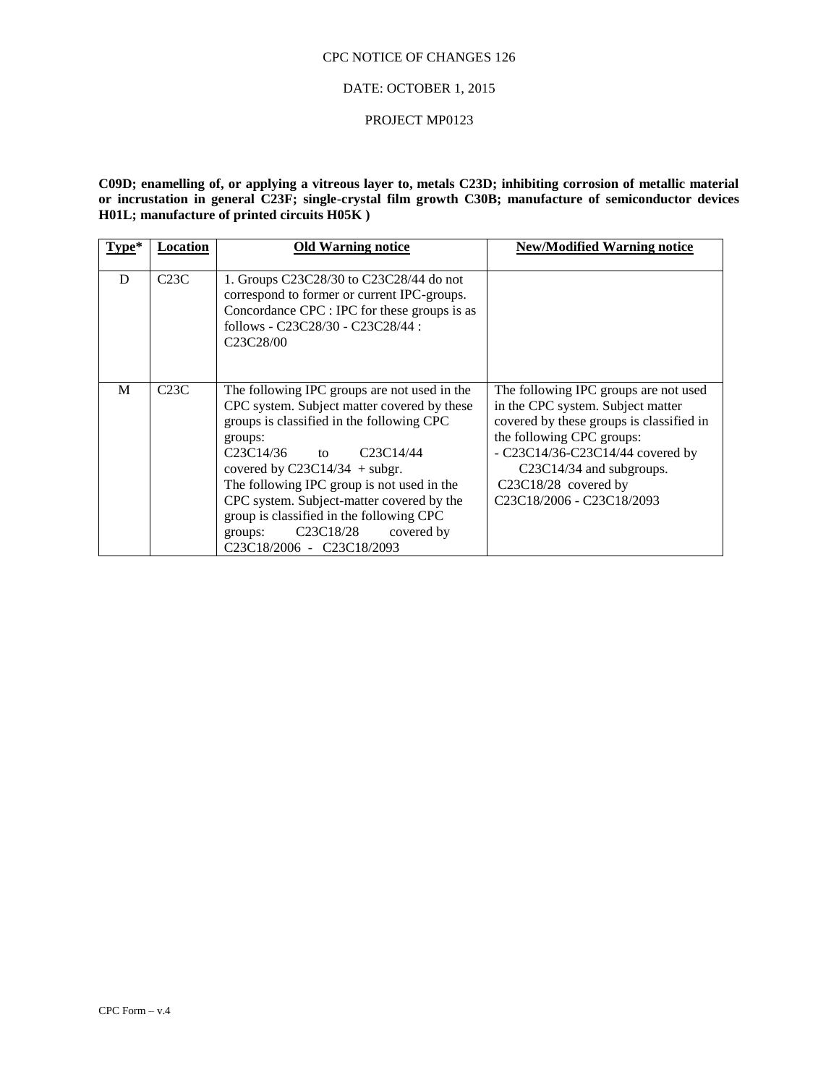### DATE: OCTOBER 1, 2015

#### PROJECT MP0123

**C09D; enamelling of, or applying a vitreous layer to, metals C23D; inhibiting corrosion of metallic material or incrustation in general C23F; single-crystal film growth C30B; manufacture of semiconductor devices H01L; manufacture of printed circuits H05K )**

| Type* | Location | <b>Old Warning notice</b>                                                                                                                                                                                                                                                                                                                                                                                                                                                                                                               | <b>New/Modified Warning notice</b>                                                                                                                                                                                                                                                                                                                                 |
|-------|----------|-----------------------------------------------------------------------------------------------------------------------------------------------------------------------------------------------------------------------------------------------------------------------------------------------------------------------------------------------------------------------------------------------------------------------------------------------------------------------------------------------------------------------------------------|--------------------------------------------------------------------------------------------------------------------------------------------------------------------------------------------------------------------------------------------------------------------------------------------------------------------------------------------------------------------|
| D     | C23C     | 1. Groups C23C28/30 to C23C28/44 do not<br>correspond to former or current IPC-groups.<br>Concordance CPC : IPC for these groups is as<br>follows - C23C28/30 - C23C28/44 :<br>C <sub>23</sub> C <sub>28</sub> /00                                                                                                                                                                                                                                                                                                                      |                                                                                                                                                                                                                                                                                                                                                                    |
| M     | C23C     | The following IPC groups are not used in the<br>CPC system. Subject matter covered by these<br>groups is classified in the following CPC<br>groups:<br>C <sub>23</sub> C <sub>14</sub> /36<br>to $C23C14/44$<br>covered by $C23C14/34$ + subgr.<br>The following IPC group is not used in the<br>CPC system. Subject-matter covered by the<br>group is classified in the following CPC<br>C <sub>23</sub> C <sub>18</sub> /28<br>covered by<br>groups:<br>C <sub>23</sub> C <sub>18</sub> /2006 - C <sub>23</sub> C <sub>18</sub> /2093 | The following IPC groups are not used<br>in the CPC system. Subject matter<br>covered by these groups is classified in<br>the following CPC groups:<br>- C23C14/36-C23C14/44 covered by<br>C23C14/34 and subgroups.<br>C <sub>23</sub> C <sub>18</sub> / <sub>28</sub> covered by<br>C <sub>23</sub> C <sub>18</sub> /2006 - C <sub>23</sub> C <sub>18</sub> /2093 |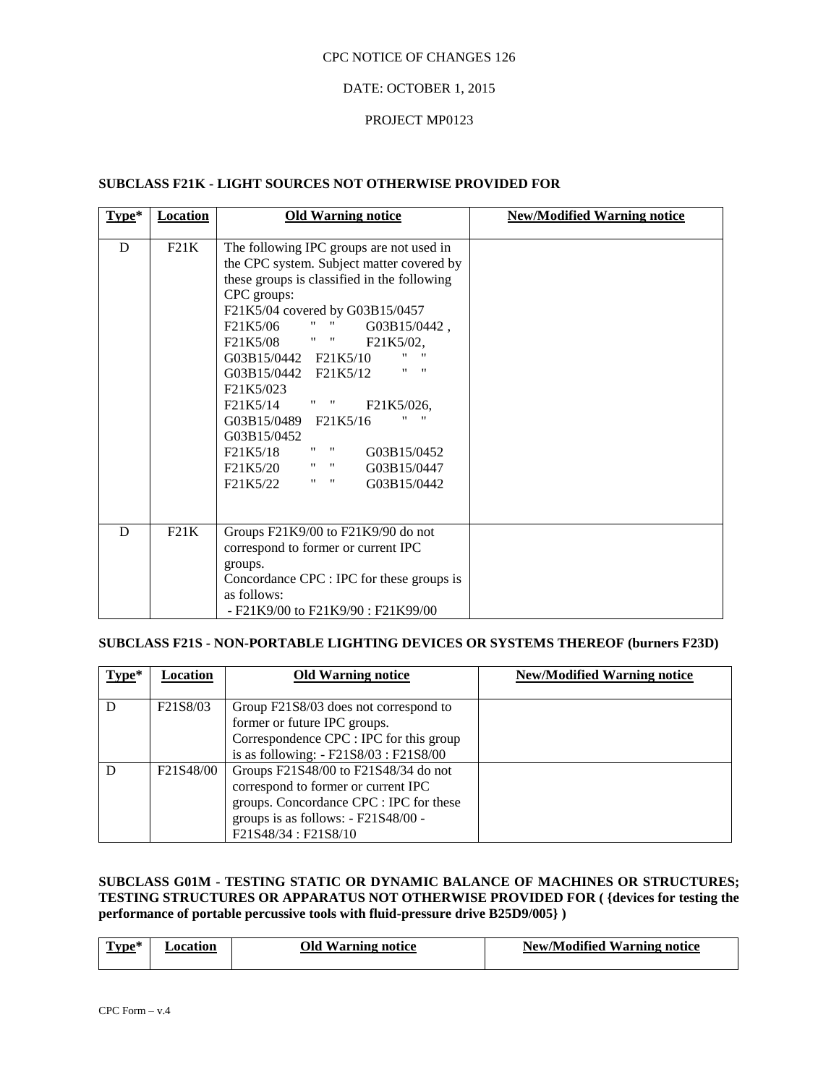### DATE: OCTOBER 1, 2015

### PROJECT MP0123

# **SUBCLASS F21K - LIGHT SOURCES NOT OTHERWISE PROVIDED FOR**

| $Type*$ | <b>Location</b> | <b>Old Warning notice</b>                                                                                                                                                                                                                                                                                                                                                                                                                                                                                                                                                                                                                         | <b>New/Modified Warning notice</b> |
|---------|-----------------|---------------------------------------------------------------------------------------------------------------------------------------------------------------------------------------------------------------------------------------------------------------------------------------------------------------------------------------------------------------------------------------------------------------------------------------------------------------------------------------------------------------------------------------------------------------------------------------------------------------------------------------------------|------------------------------------|
| D       | F21K            | The following IPC groups are not used in<br>the CPC system. Subject matter covered by<br>these groups is classified in the following<br>CPC groups:<br>F21K5/04 covered by G03B15/0457<br>$\mathbf{u} = \mathbf{u}$ and the set<br>F21K5/06<br>G03B15/0442,<br>F21K5/08 " " F21K5/02,<br>11<br>G03B15/0442 F21K5/10<br>$\mathbf{H}$ $\mathbf{H}$<br>G03B15/0442 F21K5/12<br>F <sub>21</sub> K <sub>5</sub> /023<br>F21K5/14 " "<br>F21K5/026,<br>"<br>G03B15/0489 F21K5/16<br>G03B15/0452<br>11<br>$\mathbf{H}$<br>F21K5/18<br>G03B15/0452<br>F21K5/20<br>$\mathbf{u} = \mathbf{u}$<br>G03B15/0447<br><br>$\mathbf{H}$<br>F21K5/22<br>G03B15/0442 |                                    |
| D       | F21K            | Groups F21K9/00 to F21K9/90 do not<br>correspond to former or current IPC<br>groups.<br>Concordance CPC : IPC for these groups is<br>as follows:<br>$- F21K9/00$ to $F21K9/90$ : $F21K99/00$                                                                                                                                                                                                                                                                                                                                                                                                                                                      |                                    |

# **SUBCLASS F21S - NON-PORTABLE LIGHTING DEVICES OR SYSTEMS THEREOF (burners F23D)**

| $Type*$ | Location  | <b>Old Warning notice</b>               | <b>New/Modified Warning notice</b> |
|---------|-----------|-----------------------------------------|------------------------------------|
|         |           |                                         |                                    |
|         | F21S8/03  | Group F21S8/03 does not correspond to   |                                    |
|         |           | former or future IPC groups.            |                                    |
|         |           | Correspondence CPC : IPC for this group |                                    |
|         |           | is as following: - F21S8/03 : F21S8/00  |                                    |
|         | F21S48/00 | Groups F21S48/00 to F21S48/34 do not    |                                    |
|         |           | correspond to former or current IPC     |                                    |
|         |           | groups. Concordance CPC : IPC for these |                                    |
|         |           | groups is as follows: - F21S48/00 -     |                                    |
|         |           | F21S48/34 : F21S8/10                    |                                    |

# **SUBCLASS G01M - TESTING STATIC OR DYNAMIC BALANCE OF MACHINES OR STRUCTURES; TESTING STRUCTURES OR APPARATUS NOT OTHERWISE PROVIDED FOR ( {devices for testing the performance of portable percussive tools with fluid-pressure drive B25D9/005} )**

| $\sim$<br>$\mathbf{r}$<br>im | tıor | Эld<br>Varning notice | <b>1000</b><br>Warning notice<br>New/Modified |
|------------------------------|------|-----------------------|-----------------------------------------------|
|                              |      |                       |                                               |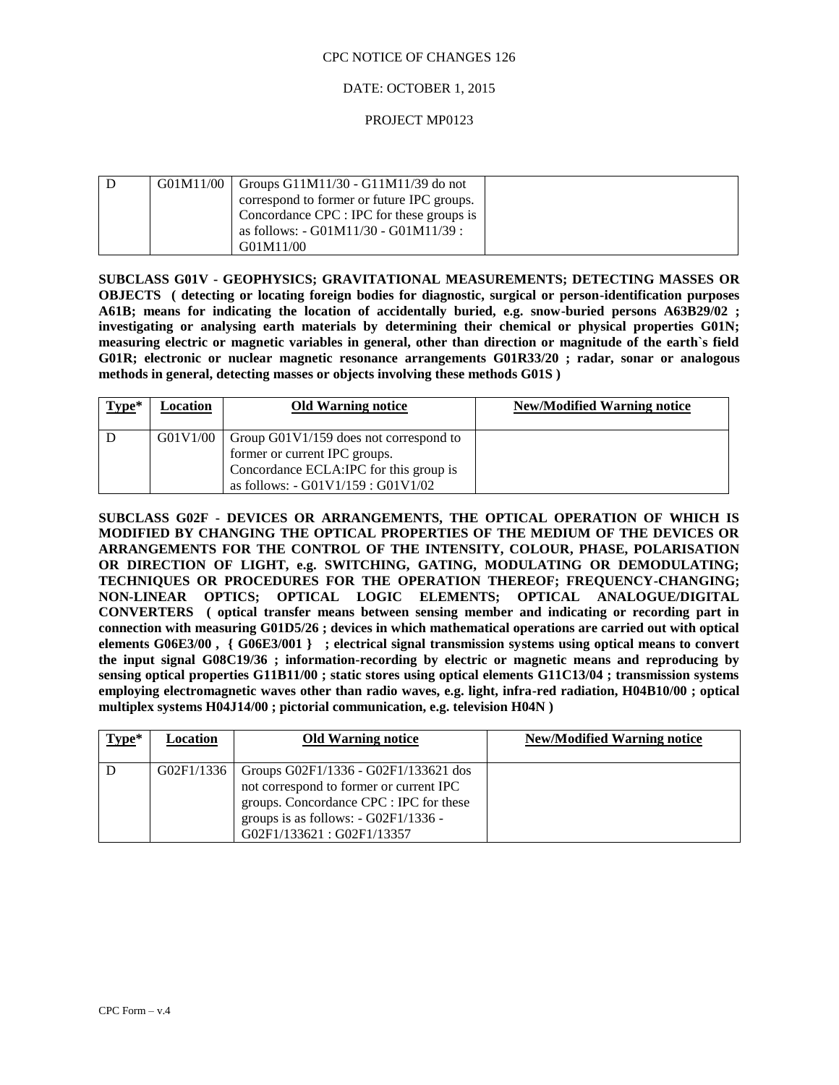### DATE: OCTOBER 1, 2015

### PROJECT MP0123

|  | $G01M11/00$ Groups $G11M11/30 - G11M11/39$ do not |  |
|--|---------------------------------------------------|--|
|  | correspond to former or future IPC groups.        |  |
|  | Concordance CPC : IPC for these groups is         |  |
|  | as follows: - G01M11/30 - G01M11/39 :             |  |
|  | G01M11/00                                         |  |

**SUBCLASS G01V - GEOPHYSICS; GRAVITATIONAL MEASUREMENTS; DETECTING MASSES OR OBJECTS ( detecting or locating foreign bodies for diagnostic, surgical or person-identification purposes A61B; means for indicating the location of accidentally buried, e.g. snow-buried persons A63B29/02 ; investigating or analysing earth materials by determining their chemical or physical properties G01N; measuring electric or magnetic variables in general, other than direction or magnitude of the earth`s field G01R; electronic or nuclear magnetic resonance arrangements G01R33/20 ; radar, sonar or analogous methods in general, detecting masses or objects involving these methods G01S )**

| $Type*$ | Location | <b>Old Warning notice</b>                                                                                                                                    | <b>New/Modified Warning notice</b> |
|---------|----------|--------------------------------------------------------------------------------------------------------------------------------------------------------------|------------------------------------|
|         | G01V1/00 | Group $G01V1/159$ does not correspond to<br>former or current IPC groups.<br>Concordance ECLA:IPC for this group is<br>as follows: $-G01V1/159$ : $G01V1/02$ |                                    |

**SUBCLASS G02F - DEVICES OR ARRANGEMENTS, THE OPTICAL OPERATION OF WHICH IS MODIFIED BY CHANGING THE OPTICAL PROPERTIES OF THE MEDIUM OF THE DEVICES OR ARRANGEMENTS FOR THE CONTROL OF THE INTENSITY, COLOUR, PHASE, POLARISATION OR DIRECTION OF LIGHT, e.g. SWITCHING, GATING, MODULATING OR DEMODULATING; TECHNIQUES OR PROCEDURES FOR THE OPERATION THEREOF; FREQUENCY-CHANGING; NON-LINEAR OPTICS; OPTICAL LOGIC ELEMENTS; OPTICAL ANALOGUE/DIGITAL CONVERTERS ( optical transfer means between sensing member and indicating or recording part in connection with measuring G01D5/26 ; devices in which mathematical operations are carried out with optical elements G06E3/00 , { G06E3/001 } ; electrical signal transmission systems using optical means to convert the input signal G08C19/36 ; information-recording by electric or magnetic means and reproducing by sensing optical properties G11B11/00 ; static stores using optical elements G11C13/04 ; transmission systems employing electromagnetic waves other than radio waves, e.g. light, infra-red radiation, H04B10/00 ; optical multiplex systems H04J14/00 ; pictorial communication, e.g. television H04N )**

| Type* | Location   | <b>Old Warning notice</b>                                                                                                                                                                        | <b>New/Modified Warning notice</b> |
|-------|------------|--------------------------------------------------------------------------------------------------------------------------------------------------------------------------------------------------|------------------------------------|
| ∟D.   | G02F1/1336 | Groups G02F1/1336 - G02F1/133621 dos<br>not correspond to former or current IPC<br>groups. Concordance CPC : IPC for these<br>groups is as follows: $-G02F1/1336 -$<br>G02F1/133621: G02F1/13357 |                                    |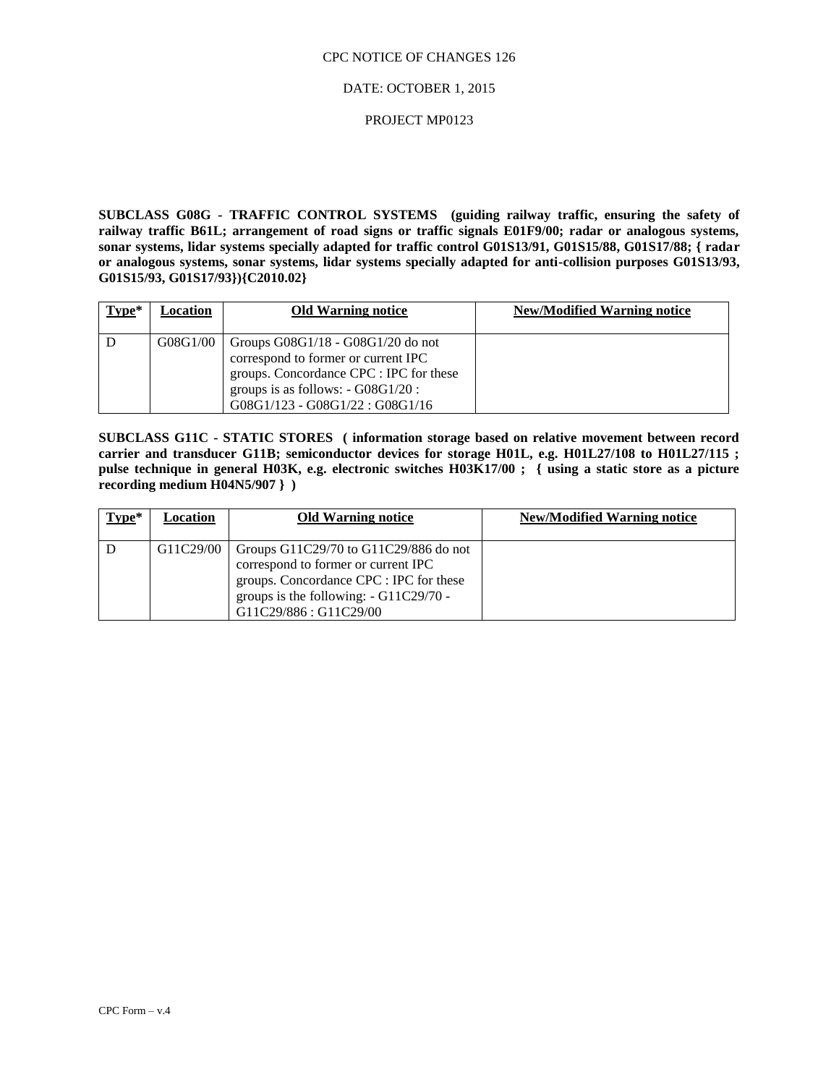#### DATE: OCTOBER 1, 2015

### PROJECT MP0123

**SUBCLASS G08G - TRAFFIC CONTROL SYSTEMS (guiding railway traffic, ensuring the safety of railway traffic B61L; arrangement of road signs or traffic signals E01F9/00; radar or analogous systems, sonar systems, lidar systems specially adapted for traffic control G01S13/91, G01S15/88, G01S17/88; { radar or analogous systems, sonar systems, lidar systems specially adapted for anti-collision purposes G01S13/93, G01S15/93, G01S17/93}){C2010.02}**

| $Type*$ | Location | <b>Old Warning notice</b>               | <b>New/Modified Warning notice</b> |
|---------|----------|-----------------------------------------|------------------------------------|
|         |          |                                         |                                    |
|         | G08G1/00 | Groups $G08G1/18 - G08G1/20$ do not     |                                    |
|         |          | correspond to former or current IPC     |                                    |
|         |          | groups. Concordance CPC : IPC for these |                                    |
|         |          | groups is as follows: - G08G1/20 :      |                                    |
|         |          | $G08G1/123 - G08G1/22 : G08G1/16$       |                                    |

**SUBCLASS G11C - STATIC STORES ( information storage based on relative movement between record carrier and transducer G11B; semiconductor devices for storage H01L, e.g. H01L27/108 to H01L27/115 ; pulse technique in general H03K, e.g. electronic switches H03K17/00 ; { using a static store as a picture recording medium H04N5/907 } )**

| $Type*$ | Location  | <b>Old Warning notice</b>                                                                                                                                                                     | <b>New/Modified Warning notice</b> |
|---------|-----------|-----------------------------------------------------------------------------------------------------------------------------------------------------------------------------------------------|------------------------------------|
|         | G11C29/00 | Groups G11C29/70 to G11C29/886 do not<br>correspond to former or current IPC<br>groups. Concordance CPC : IPC for these<br>groups is the following: $- G11C29/70 -$<br>G11C29/886 : G11C29/00 |                                    |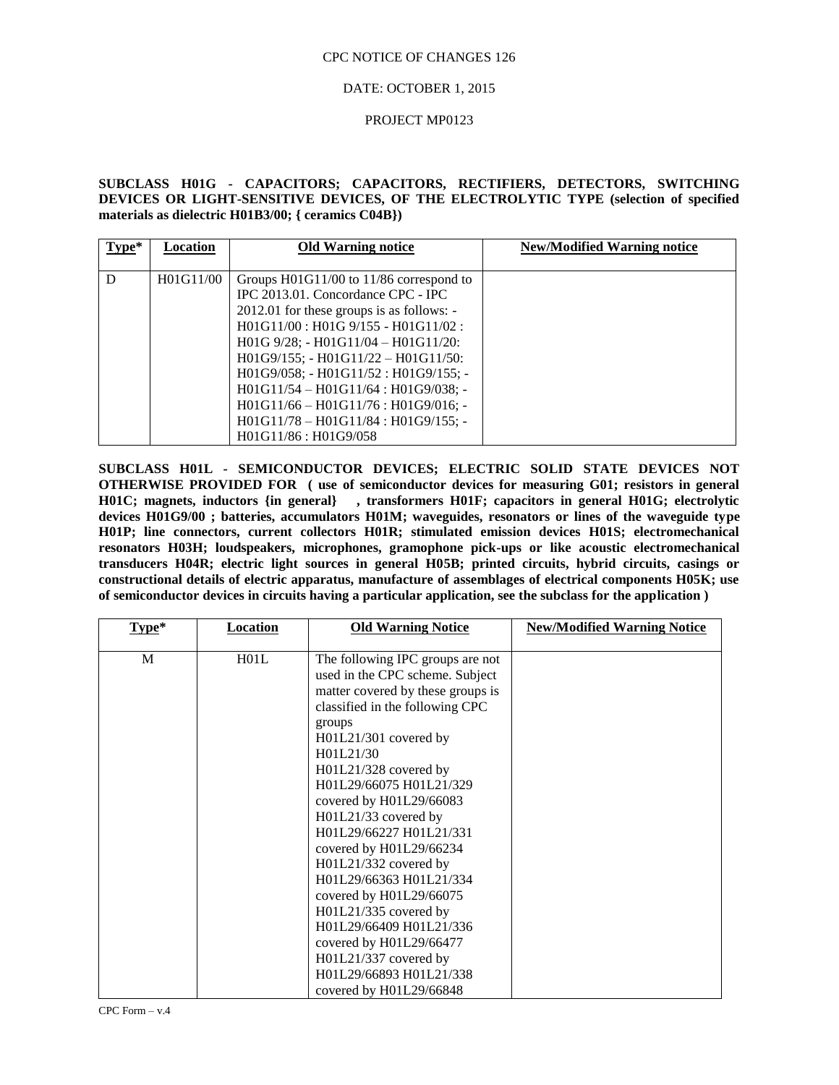### DATE: OCTOBER 1, 2015

#### PROJECT MP0123

# **SUBCLASS H01G - CAPACITORS; CAPACITORS, RECTIFIERS, DETECTORS, SWITCHING DEVICES OR LIGHT-SENSITIVE DEVICES, OF THE ELECTROLYTIC TYPE (selection of specified materials as dielectric H01B3/00; { ceramics C04B})**

| $Type*$ | Location  | <b>Old Warning notice</b>                 | <b>New/Modified Warning notice</b> |
|---------|-----------|-------------------------------------------|------------------------------------|
|         |           |                                           |                                    |
| D       | H01G11/00 | Groups H01G11/00 to 11/86 correspond to   |                                    |
|         |           | IPC 2013.01. Concordance CPC - IPC        |                                    |
|         |           | 2012.01 for these groups is as follows: - |                                    |
|         |           | $H01G11/00$ : $H01G9/155 - H01G11/02$ :   |                                    |
|         |           | $H01G$ 9/28; - $H01G11/04 - H01G11/20$ :  |                                    |
|         |           | H01G9/155; - H01G11/22 - H01G11/50:       |                                    |
|         |           | H01G9/058; - H01G11/52 : H01G9/155; -     |                                    |
|         |           | $H01G11/54 - H01G11/64$ : $H01G9/038$ ; - |                                    |
|         |           | $H01G11/66 - H01G11/76$ : $H01G9/016$ ; - |                                    |
|         |           | $H01G11/78 - H01G11/84 : H01G9/155;$      |                                    |
|         |           | H01G11/86 : H01G9/058                     |                                    |

**SUBCLASS H01L - SEMICONDUCTOR DEVICES; ELECTRIC SOLID STATE DEVICES NOT OTHERWISE PROVIDED FOR ( use of semiconductor devices for measuring G01; resistors in general H01C; magnets, inductors {in general} , transformers H01F; capacitors in general H01G; electrolytic devices H01G9/00 ; batteries, accumulators H01M; waveguides, resonators or lines of the waveguide type H01P; line connectors, current collectors H01R; stimulated emission devices H01S; electromechanical resonators H03H; loudspeakers, microphones, gramophone pick-ups or like acoustic electromechanical transducers H04R; electric light sources in general H05B; printed circuits, hybrid circuits, casings or constructional details of electric apparatus, manufacture of assemblages of electrical components H05K; use of semiconductor devices in circuits having a particular application, see the subclass for the application )**

| $Type*$ | Location | <b>Old Warning Notice</b>                                                                                                                   | <b>New/Modified Warning Notice</b> |
|---------|----------|---------------------------------------------------------------------------------------------------------------------------------------------|------------------------------------|
| M       | H01L     | The following IPC groups are not<br>used in the CPC scheme. Subject<br>matter covered by these groups is<br>classified in the following CPC |                                    |
|         |          | groups<br>H01L21/301 covered by<br>H01L21/30                                                                                                |                                    |
|         |          | H01L21/328 covered by<br>H01L29/66075 H01L21/329<br>covered by H01L29/66083                                                                 |                                    |
|         |          | H01L21/33 covered by<br>H01L29/66227 H01L21/331<br>covered by H01L29/66234                                                                  |                                    |
|         |          | H01L21/332 covered by<br>H01L29/66363 H01L21/334<br>covered by H01L29/66075                                                                 |                                    |
|         |          | H01L21/335 covered by<br>H01L29/66409 H01L21/336<br>covered by H01L29/66477                                                                 |                                    |
|         |          | H01L21/337 covered by<br>H01L29/66893 H01L21/338<br>covered by H01L29/66848                                                                 |                                    |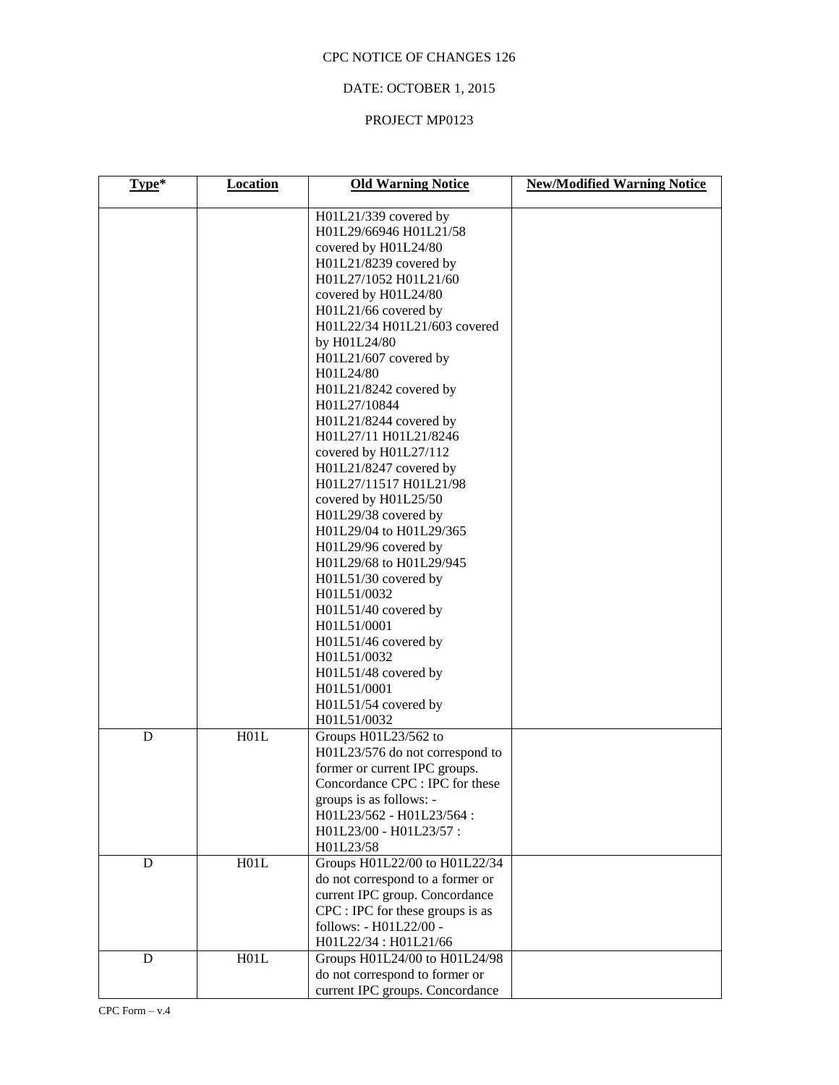# DATE: OCTOBER 1, 2015

# PROJECT MP0123

| Type* | <b>Location</b> | <b>Old Warning Notice</b>                                                                                                                                                                                                                                                                                                                                                                                                                                                                                                                                                                                                                                                                                                                                    | <b>New/Modified Warning Notice</b> |
|-------|-----------------|--------------------------------------------------------------------------------------------------------------------------------------------------------------------------------------------------------------------------------------------------------------------------------------------------------------------------------------------------------------------------------------------------------------------------------------------------------------------------------------------------------------------------------------------------------------------------------------------------------------------------------------------------------------------------------------------------------------------------------------------------------------|------------------------------------|
|       |                 | H01L21/339 covered by<br>H01L29/66946 H01L21/58<br>covered by H01L24/80<br>H01L21/8239 covered by<br>H01L27/1052 H01L21/60<br>covered by H01L24/80<br>H01L21/66 covered by<br>H01L22/34 H01L21/603 covered<br>by H01L24/80<br>H01L21/607 covered by<br>H01L24/80<br>H01L21/8242 covered by<br>H01L27/10844<br>H01L21/8244 covered by<br>H01L27/11 H01L21/8246<br>covered by H01L27/112<br>H01L21/8247 covered by<br>H01L27/11517 H01L21/98<br>covered by H01L25/50<br>H01L29/38 covered by<br>H01L29/04 to H01L29/365<br>H01L29/96 covered by<br>H01L29/68 to H01L29/945<br>H01L51/30 covered by<br>H01L51/0032<br>H01L51/40 covered by<br>H01L51/0001<br>H01L51/46 covered by<br>H01L51/0032<br>H01L51/48 covered by<br>H01L51/0001<br>H01L51/54 covered by |                                    |
| D     | H01L            | H01L51/0032<br>Groups H01L23/562 to<br>H01L23/576 do not correspond to<br>former or current IPC groups.<br>Concordance CPC : IPC for these<br>groups is as follows: -<br>H01L23/562 - H01L23/564:<br>H01L23/00 - H01L23/57:<br>H01L23/58                                                                                                                                                                                                                                                                                                                                                                                                                                                                                                                     |                                    |
| D     | H01L            | Groups H01L22/00 to H01L22/34<br>do not correspond to a former or<br>current IPC group. Concordance<br>CPC : IPC for these groups is as<br>follows: - H01L22/00 -<br>H01L22/34: H01L21/66                                                                                                                                                                                                                                                                                                                                                                                                                                                                                                                                                                    |                                    |
| D     | H01L            | Groups H01L24/00 to H01L24/98<br>do not correspond to former or<br>current IPC groups. Concordance                                                                                                                                                                                                                                                                                                                                                                                                                                                                                                                                                                                                                                                           |                                    |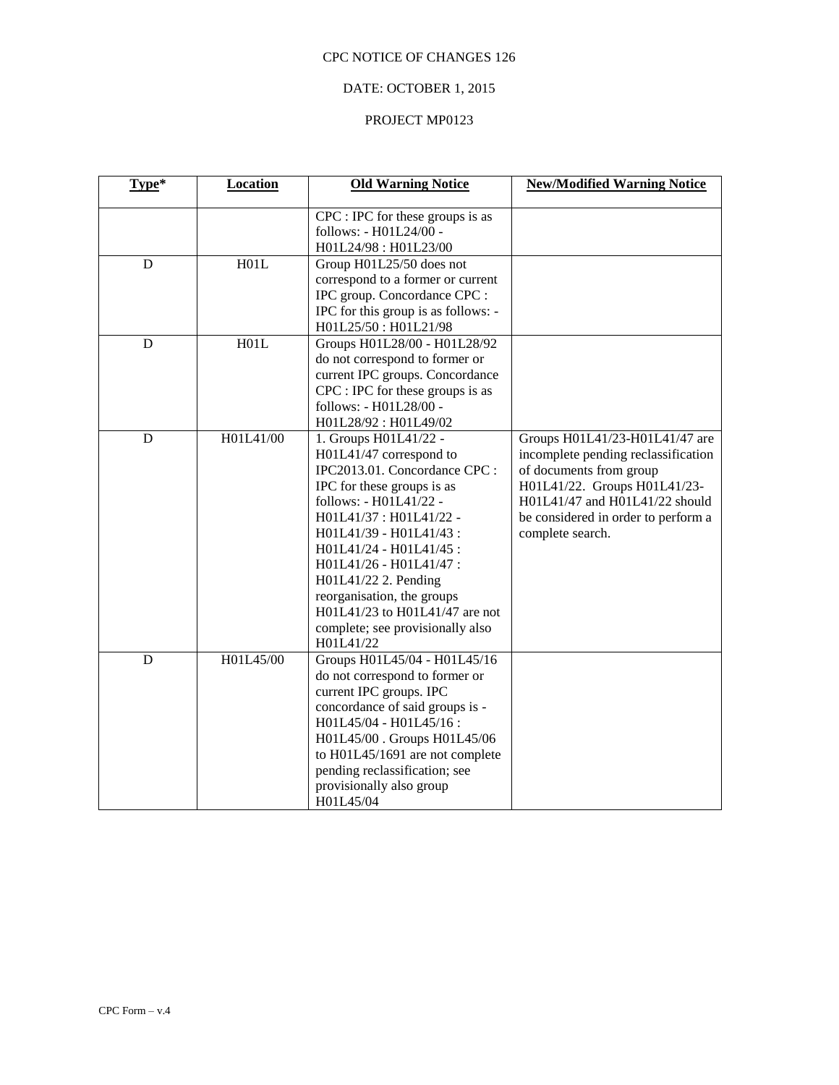# DATE: OCTOBER 1, 2015

# PROJECT MP0123

| Type*       | <b>Location</b> | <b>Old Warning Notice</b>                                                                                                                                                                                                                                                                                                                                                                    | <b>New/Modified Warning Notice</b>                                                                                                                                                                                            |
|-------------|-----------------|----------------------------------------------------------------------------------------------------------------------------------------------------------------------------------------------------------------------------------------------------------------------------------------------------------------------------------------------------------------------------------------------|-------------------------------------------------------------------------------------------------------------------------------------------------------------------------------------------------------------------------------|
|             |                 | CPC : IPC for these groups is as<br>follows: - H01L24/00 -<br>H01L24/98: H01L23/00                                                                                                                                                                                                                                                                                                           |                                                                                                                                                                                                                               |
| D           | H01L            | Group H01L25/50 does not<br>correspond to a former or current<br>IPC group. Concordance CPC :<br>IPC for this group is as follows: -<br>H01L25/50: H01L21/98                                                                                                                                                                                                                                 |                                                                                                                                                                                                                               |
| $\mathbf D$ | H01L            | Groups H01L28/00 - H01L28/92<br>do not correspond to former or<br>current IPC groups. Concordance<br>CPC : IPC for these groups is as<br>follows: - H01L28/00 -<br>H01L28/92: H01L49/02                                                                                                                                                                                                      |                                                                                                                                                                                                                               |
| D           | H01L41/00       | 1. Groups H01L41/22 -<br>H01L41/47 correspond to<br>IPC2013.01. Concordance CPC :<br>IPC for these groups is as<br>follows: - H01L41/22 -<br>H01L41/37: H01L41/22 -<br>H01L41/39 - H01L41/43:<br>H01L41/24 - H01L41/45 :<br>H01L41/26 - H01L41/47 :<br>H01L41/22 2. Pending<br>reorganisation, the groups<br>H01L41/23 to H01L41/47 are not<br>complete; see provisionally also<br>H01L41/22 | Groups H01L41/23-H01L41/47 are<br>incomplete pending reclassification<br>of documents from group<br>H01L41/22. Groups H01L41/23-<br>H01L41/47 and H01L41/22 should<br>be considered in order to perform a<br>complete search. |
| D           | H01L45/00       | Groups H01L45/04 - H01L45/16<br>do not correspond to former or<br>current IPC groups. IPC<br>concordance of said groups is -<br>H01L45/04 - H01L45/16:<br>H01L45/00. Groups H01L45/06<br>to H01L45/1691 are not complete<br>pending reclassification; see<br>provisionally also group<br>H01L45/04                                                                                           |                                                                                                                                                                                                                               |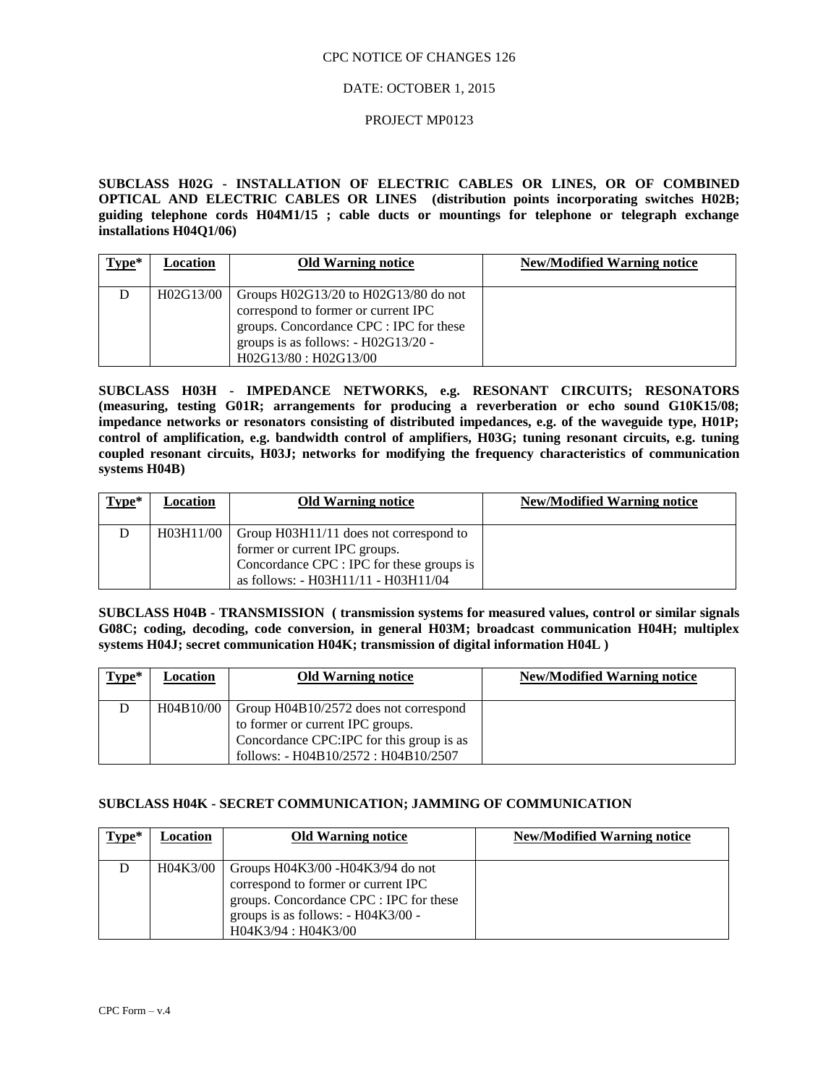#### DATE: OCTOBER 1, 2015

#### PROJECT MP0123

**SUBCLASS H02G - INSTALLATION OF ELECTRIC CABLES OR LINES, OR OF COMBINED OPTICAL AND ELECTRIC CABLES OR LINES (distribution points incorporating switches H02B; guiding telephone cords H04M1/15 ; cable ducts or mountings for telephone or telegraph exchange installations H04Q1/06)**

| $Type*$ | Location  | <b>Old Warning notice</b>                                                                                                                                                                   | <b>New/Modified Warning notice</b> |
|---------|-----------|---------------------------------------------------------------------------------------------------------------------------------------------------------------------------------------------|------------------------------------|
| D       | H02G13/00 | Groups $H02G13/20$ to $H02G13/80$ do not<br>correspond to former or current IPC<br>groups. Concordance CPC : IPC for these<br>groups is as follows: $- H02G13/20 -$<br>H02G13/80: H02G13/00 |                                    |

**SUBCLASS H03H - IMPEDANCE NETWORKS, e.g. RESONANT CIRCUITS; RESONATORS (measuring, testing G01R; arrangements for producing a reverberation or echo sound G10K15/08; impedance networks or resonators consisting of distributed impedances, e.g. of the waveguide type, H01P; control of amplification, e.g. bandwidth control of amplifiers, H03G; tuning resonant circuits, e.g. tuning coupled resonant circuits, H03J; networks for modifying the frequency characteristics of communication systems H04B)**

| Type* | Location | <b>Old Warning notice</b>                          | New/Modified Warning notice |
|-------|----------|----------------------------------------------------|-----------------------------|
|       |          | H03H11/00   Group H03H11/11 does not correspond to |                             |
|       |          | former or current IPC groups.                      |                             |
|       |          | Concordance CPC : IPC for these groups is          |                             |
|       |          | as follows: - H03H11/11 - H03H11/04                |                             |

**SUBCLASS H04B - TRANSMISSION ( transmission systems for measured values, control or similar signals G08C; coding, decoding, code conversion, in general H03M; broadcast communication H04H; multiplex systems H04J; secret communication H04K; transmission of digital information H04L )**

| $Type*$ | <b>Location</b> | <b>Old Warning notice</b>                | <b>New/Modified Warning notice</b> |
|---------|-----------------|------------------------------------------|------------------------------------|
| D       | H04B10/00       | Group H04B10/2572 does not correspond    |                                    |
|         |                 | to former or current IPC groups.         |                                    |
|         |                 | Concordance CPC:IPC for this group is as |                                    |
|         |                 | follows: $- H04B10/2572$ : $H04B10/2507$ |                                    |

#### **SUBCLASS H04K - SECRET COMMUNICATION; JAMMING OF COMMUNICATION**

| $Type*$ | Location | <b>Old Warning notice</b>                                                                                                                                                                | <b>New/Modified Warning notice</b> |
|---------|----------|------------------------------------------------------------------------------------------------------------------------------------------------------------------------------------------|------------------------------------|
| D       | H04K3/00 | Groups $H04K3/00 - H04K3/94$ do not<br>correspond to former or current IPC<br>groups. Concordance CPC : IPC for these<br>groups is as follows: $- H04K3/00 -$<br>$H04K3/94$ : $H04K3/00$ |                                    |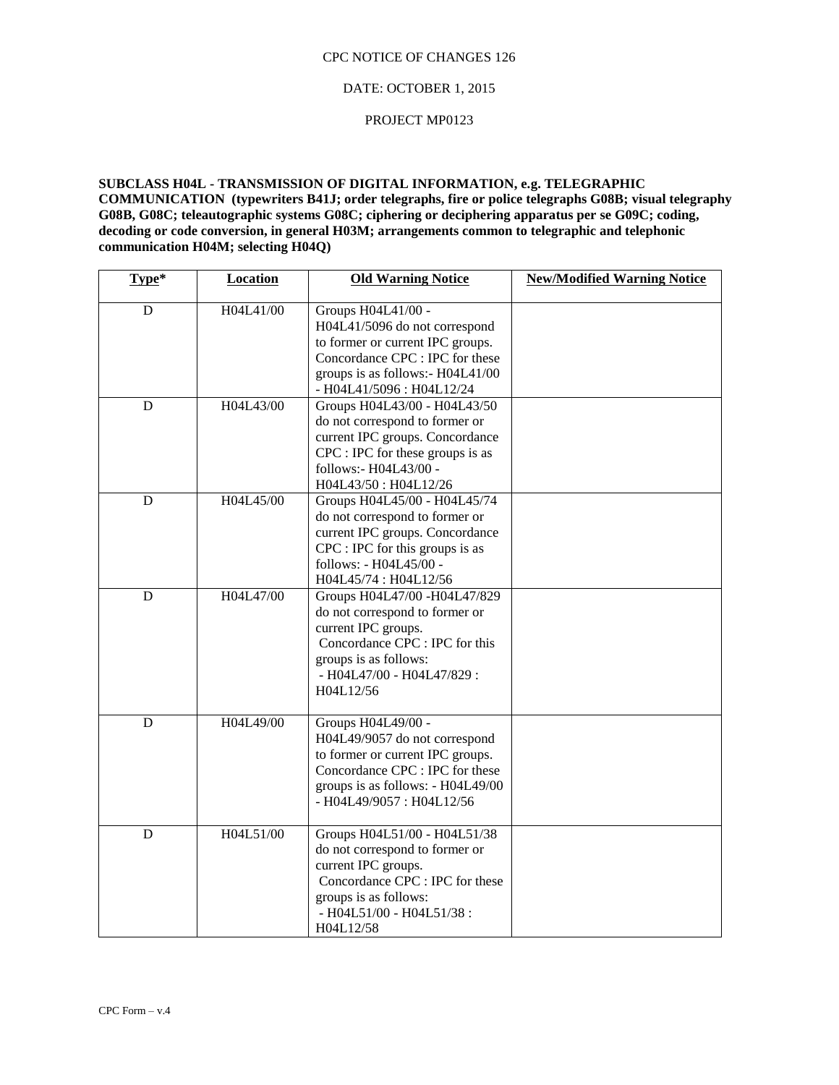### DATE: OCTOBER 1, 2015

#### PROJECT MP0123

**SUBCLASS H04L - TRANSMISSION OF DIGITAL INFORMATION, e.g. TELEGRAPHIC COMMUNICATION (typewriters B41J; order telegraphs, fire or police telegraphs G08B; visual telegraphy G08B, G08C; teleautographic systems G08C; ciphering or deciphering apparatus per se G09C; coding, decoding or code conversion, in general H03M; arrangements common to telegraphic and telephonic communication H04M; selecting H04Q)**

| Type*       | Location  | <b>Old Warning Notice</b>                                                                                                                                                                    | <b>New/Modified Warning Notice</b> |
|-------------|-----------|----------------------------------------------------------------------------------------------------------------------------------------------------------------------------------------------|------------------------------------|
| D           | H04L41/00 | Groups H04L41/00 -<br>H04L41/5096 do not correspond<br>to former or current IPC groups.<br>Concordance CPC : IPC for these<br>groups is as follows:- H04L41/00<br>- H04L41/5096 : H04L12/24  |                                    |
| $\mathbf D$ | H04L43/00 | Groups H04L43/00 - H04L43/50<br>do not correspond to former or<br>current IPC groups. Concordance<br>CPC : IPC for these groups is as<br>follows:- H04L43/00 -<br>H04L43/50: H04L12/26       |                                    |
| $\mathbf D$ | H04L45/00 | Groups H04L45/00 - H04L45/74<br>do not correspond to former or<br>current IPC groups. Concordance<br>CPC : IPC for this groups is as<br>follows: - H04L45/00 -<br>H04L45/74: H04L12/56       |                                    |
| D           | H04L47/00 | Groups H04L47/00 - H04L47/829<br>do not correspond to former or<br>current IPC groups.<br>Concordance CPC : IPC for this<br>groups is as follows:<br>- H04L47/00 - H04L47/829 :<br>H04L12/56 |                                    |
| $\mathbf D$ | H04L49/00 | Groups H04L49/00 -<br>H04L49/9057 do not correspond<br>to former or current IPC groups.<br>Concordance CPC : IPC for these<br>groups is as follows: - H04L49/00<br>- H04L49/9057: H04L12/56  |                                    |
| D           | H04L51/00 | Groups H04L51/00 - H04L51/38<br>do not correspond to former or<br>current IPC groups.<br>Concordance CPC : IPC for these<br>groups is as follows:<br>- H04L51/00 - H04L51/38:<br>H04L12/58   |                                    |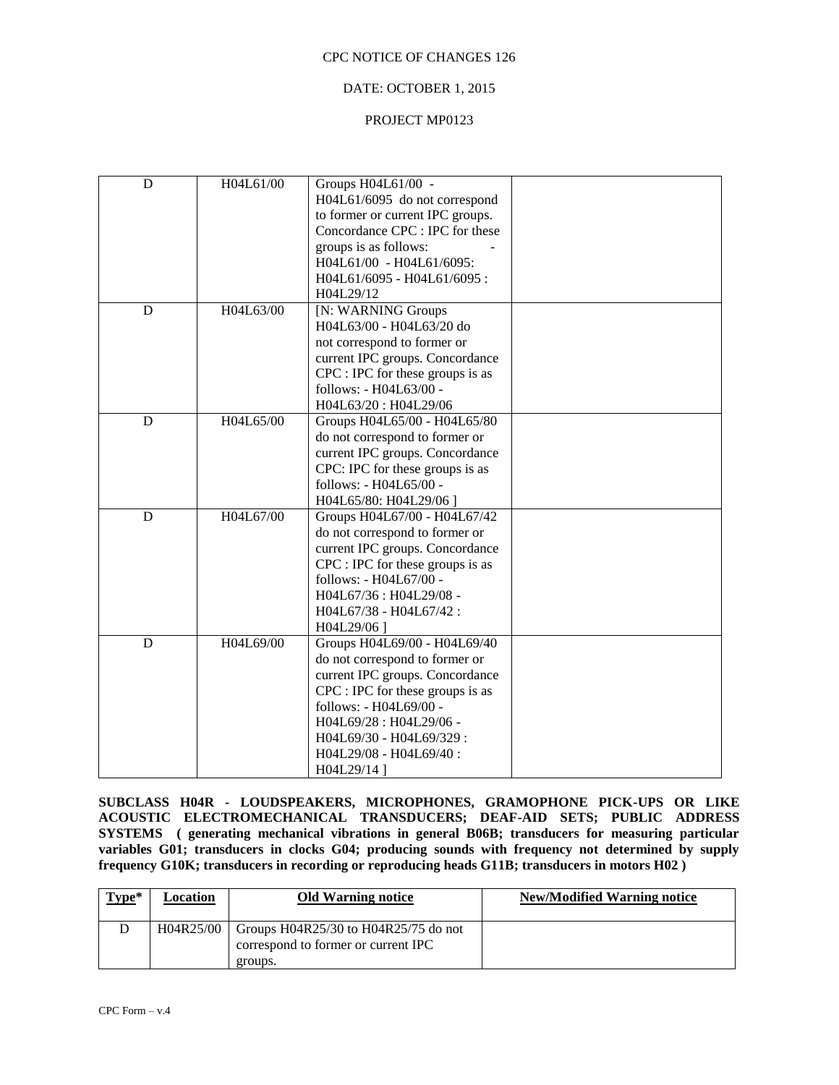### DATE: OCTOBER 1, 2015

### PROJECT MP0123

|           | H04L61/00 - H04L61/6095:     |                                                                                                                                                                                                                                                                                                                                                                                                                                                                                                                                                                                                                                                                                                                                                                                                                                                                                                                        |
|-----------|------------------------------|------------------------------------------------------------------------------------------------------------------------------------------------------------------------------------------------------------------------------------------------------------------------------------------------------------------------------------------------------------------------------------------------------------------------------------------------------------------------------------------------------------------------------------------------------------------------------------------------------------------------------------------------------------------------------------------------------------------------------------------------------------------------------------------------------------------------------------------------------------------------------------------------------------------------|
|           | H04L61/6095 - H04L61/6095:   |                                                                                                                                                                                                                                                                                                                                                                                                                                                                                                                                                                                                                                                                                                                                                                                                                                                                                                                        |
|           | H04L29/12                    |                                                                                                                                                                                                                                                                                                                                                                                                                                                                                                                                                                                                                                                                                                                                                                                                                                                                                                                        |
| H04L63/00 | [N: WARNING Groups           |                                                                                                                                                                                                                                                                                                                                                                                                                                                                                                                                                                                                                                                                                                                                                                                                                                                                                                                        |
|           | H04L63/00 - H04L63/20 do     |                                                                                                                                                                                                                                                                                                                                                                                                                                                                                                                                                                                                                                                                                                                                                                                                                                                                                                                        |
|           | not correspond to former or  |                                                                                                                                                                                                                                                                                                                                                                                                                                                                                                                                                                                                                                                                                                                                                                                                                                                                                                                        |
|           |                              |                                                                                                                                                                                                                                                                                                                                                                                                                                                                                                                                                                                                                                                                                                                                                                                                                                                                                                                        |
|           |                              |                                                                                                                                                                                                                                                                                                                                                                                                                                                                                                                                                                                                                                                                                                                                                                                                                                                                                                                        |
|           | follows: - H04L63/00 -       |                                                                                                                                                                                                                                                                                                                                                                                                                                                                                                                                                                                                                                                                                                                                                                                                                                                                                                                        |
|           |                              |                                                                                                                                                                                                                                                                                                                                                                                                                                                                                                                                                                                                                                                                                                                                                                                                                                                                                                                        |
|           |                              |                                                                                                                                                                                                                                                                                                                                                                                                                                                                                                                                                                                                                                                                                                                                                                                                                                                                                                                        |
|           |                              |                                                                                                                                                                                                                                                                                                                                                                                                                                                                                                                                                                                                                                                                                                                                                                                                                                                                                                                        |
|           |                              |                                                                                                                                                                                                                                                                                                                                                                                                                                                                                                                                                                                                                                                                                                                                                                                                                                                                                                                        |
|           |                              |                                                                                                                                                                                                                                                                                                                                                                                                                                                                                                                                                                                                                                                                                                                                                                                                                                                                                                                        |
|           |                              |                                                                                                                                                                                                                                                                                                                                                                                                                                                                                                                                                                                                                                                                                                                                                                                                                                                                                                                        |
|           |                              |                                                                                                                                                                                                                                                                                                                                                                                                                                                                                                                                                                                                                                                                                                                                                                                                                                                                                                                        |
| H04L67/00 |                              |                                                                                                                                                                                                                                                                                                                                                                                                                                                                                                                                                                                                                                                                                                                                                                                                                                                                                                                        |
|           |                              |                                                                                                                                                                                                                                                                                                                                                                                                                                                                                                                                                                                                                                                                                                                                                                                                                                                                                                                        |
|           |                              |                                                                                                                                                                                                                                                                                                                                                                                                                                                                                                                                                                                                                                                                                                                                                                                                                                                                                                                        |
|           |                              |                                                                                                                                                                                                                                                                                                                                                                                                                                                                                                                                                                                                                                                                                                                                                                                                                                                                                                                        |
|           |                              |                                                                                                                                                                                                                                                                                                                                                                                                                                                                                                                                                                                                                                                                                                                                                                                                                                                                                                                        |
|           |                              |                                                                                                                                                                                                                                                                                                                                                                                                                                                                                                                                                                                                                                                                                                                                                                                                                                                                                                                        |
|           |                              |                                                                                                                                                                                                                                                                                                                                                                                                                                                                                                                                                                                                                                                                                                                                                                                                                                                                                                                        |
|           |                              |                                                                                                                                                                                                                                                                                                                                                                                                                                                                                                                                                                                                                                                                                                                                                                                                                                                                                                                        |
| H04L69/00 | Groups H04L69/00 - H04L69/40 |                                                                                                                                                                                                                                                                                                                                                                                                                                                                                                                                                                                                                                                                                                                                                                                                                                                                                                                        |
|           |                              |                                                                                                                                                                                                                                                                                                                                                                                                                                                                                                                                                                                                                                                                                                                                                                                                                                                                                                                        |
|           |                              |                                                                                                                                                                                                                                                                                                                                                                                                                                                                                                                                                                                                                                                                                                                                                                                                                                                                                                                        |
|           |                              |                                                                                                                                                                                                                                                                                                                                                                                                                                                                                                                                                                                                                                                                                                                                                                                                                                                                                                                        |
|           |                              |                                                                                                                                                                                                                                                                                                                                                                                                                                                                                                                                                                                                                                                                                                                                                                                                                                                                                                                        |
|           |                              |                                                                                                                                                                                                                                                                                                                                                                                                                                                                                                                                                                                                                                                                                                                                                                                                                                                                                                                        |
|           |                              |                                                                                                                                                                                                                                                                                                                                                                                                                                                                                                                                                                                                                                                                                                                                                                                                                                                                                                                        |
|           |                              |                                                                                                                                                                                                                                                                                                                                                                                                                                                                                                                                                                                                                                                                                                                                                                                                                                                                                                                        |
|           |                              |                                                                                                                                                                                                                                                                                                                                                                                                                                                                                                                                                                                                                                                                                                                                                                                                                                                                                                                        |
|           | H04L61/00<br>H04L65/00       | Groups H04L61/00 -<br>H04L61/6095 do not correspond<br>to former or current IPC groups.<br>Concordance CPC : IPC for these<br>groups is as follows:<br>current IPC groups. Concordance<br>CPC : IPC for these groups is as<br>H04L63/20: H04L29/06<br>Groups H04L65/00 - H04L65/80<br>do not correspond to former or<br>current IPC groups. Concordance<br>CPC: IPC for these groups is as<br>follows: - H04L65/00 -<br>H04L65/80: H04L29/06]<br>Groups H04L67/00 - H04L67/42<br>do not correspond to former or<br>current IPC groups. Concordance<br>CPC : IPC for these groups is as<br>follows: - H04L67/00 -<br>H04L67/36: H04L29/08 -<br>H04L67/38 - H04L67/42:<br>H04L29/06]<br>do not correspond to former or<br>current IPC groups. Concordance<br>$CPC$ : IPC for these groups is as<br>follows: - H04L69/00 -<br>H04L69/28 : H04L29/06 -<br>H04L69/30 - H04L69/329:<br>H04L29/08 - H04L69/40:<br>H04L29/14 ] |

**SUBCLASS H04R - LOUDSPEAKERS, MICROPHONES, GRAMOPHONE PICK-UPS OR LIKE ACOUSTIC ELECTROMECHANICAL TRANSDUCERS; DEAF-AID SETS; PUBLIC ADDRESS SYSTEMS ( generating mechanical vibrations in general B06B; transducers for measuring particular variables G01; transducers in clocks G04; producing sounds with frequency not determined by supply frequency G10K; transducers in recording or reproducing heads G11B; transducers in motors H02 )**

| $Type*$ | Location | <b>Old Warning notice</b>                                                                          | <b>New/Modified Warning notice</b> |
|---------|----------|----------------------------------------------------------------------------------------------------|------------------------------------|
|         |          | H04R25/00   Groups H04R25/30 to H04R25/75 do not<br>correspond to former or current IPC<br>groups. |                                    |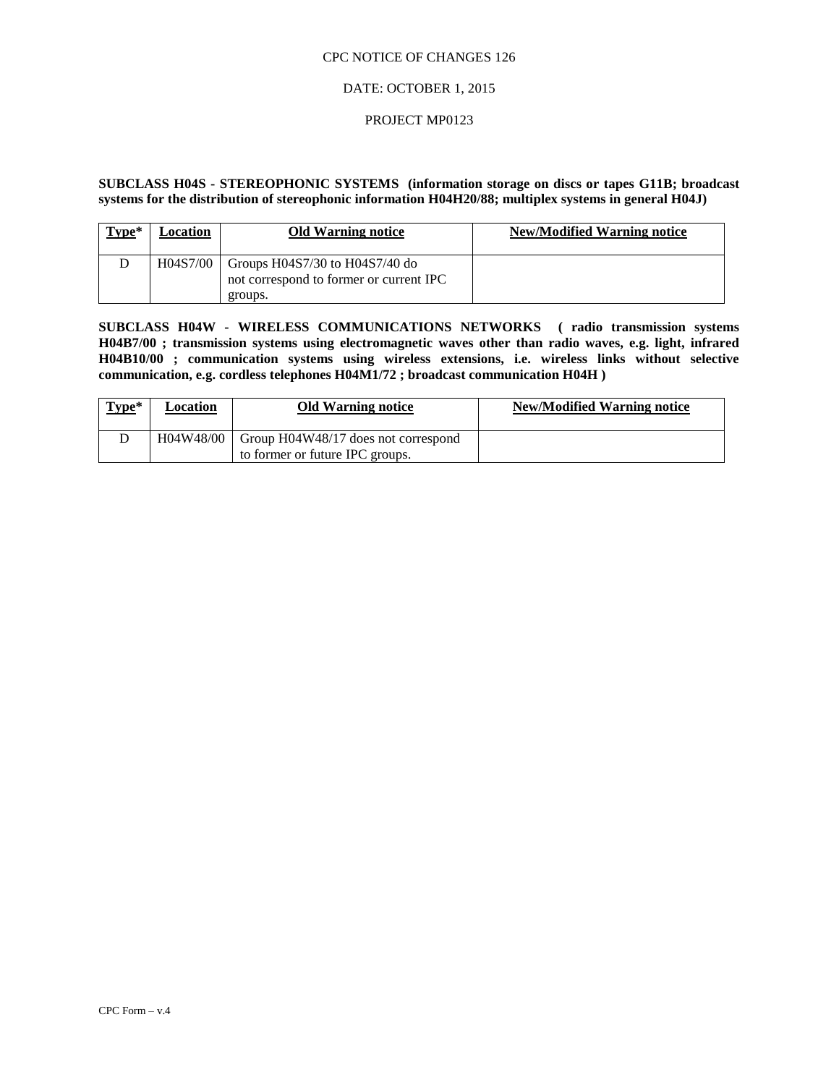### DATE: OCTOBER 1, 2015

### PROJECT MP0123

### **SUBCLASS H04S - STEREOPHONIC SYSTEMS (information storage on discs or tapes G11B; broadcast systems for the distribution of stereophonic information H04H20/88; multiplex systems in general H04J)**

| $Type*$ | Location | <b>Old Warning notice</b>                                                                | <b>New/Modified Warning notice</b> |
|---------|----------|------------------------------------------------------------------------------------------|------------------------------------|
|         | H04S7/00 | Groups $H04S7/30$ to $H04S7/40$ do<br>not correspond to former or current IPC<br>groups. |                                    |

**SUBCLASS H04W - WIRELESS COMMUNICATIONS NETWORKS ( radio transmission systems H04B7/00 ; transmission systems using electromagnetic waves other than radio waves, e.g. light, infrared H04B10/00 ; communication systems using wireless extensions, i.e. wireless links without selective communication, e.g. cordless telephones H04M1/72 ; broadcast communication H04H )**

|  |                                                                                        | <b>New/Modified Warning notice</b> |
|--|----------------------------------------------------------------------------------------|------------------------------------|
|  | $H04W48/00$   Group $H04W48/17$ does not correspond<br>to former or future IPC groups. |                                    |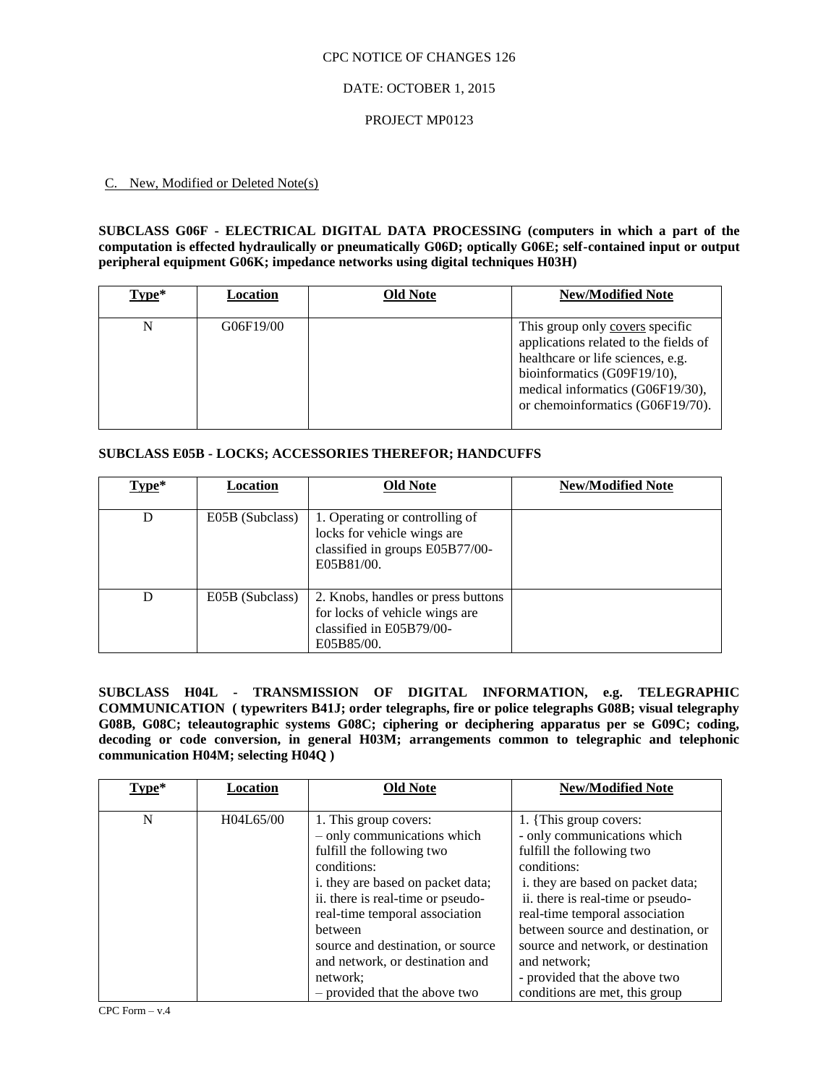### DATE: OCTOBER 1, 2015

### PROJECT MP0123

### C. New, Modified or Deleted Note(s)

### **SUBCLASS G06F - ELECTRICAL DIGITAL DATA PROCESSING (computers in which a part of the computation is effected hydraulically or pneumatically G06D; optically G06E; self-contained input or output peripheral equipment G06K; impedance networks using digital techniques H03H)**

| Type* | Location  | <b>Old Note</b> | <b>New/Modified Note</b>                                                                                                                                                                                             |
|-------|-----------|-----------------|----------------------------------------------------------------------------------------------------------------------------------------------------------------------------------------------------------------------|
| N     | G06F19/00 |                 | This group only covers specific<br>applications related to the fields of<br>healthcare or life sciences, e.g.<br>bioinformatics (G09F19/10),<br>medical informatics (G06F19/30),<br>or chemoinformatics (G06F19/70). |

# **SUBCLASS E05B - LOCKS; ACCESSORIES THEREFOR; HANDCUFFS**

| Type* | Location        | <b>Old Note</b>                                                                                                | <b>New/Modified Note</b> |
|-------|-----------------|----------------------------------------------------------------------------------------------------------------|--------------------------|
| D     | E05B (Subclass) | 1. Operating or controlling of<br>locks for vehicle wings are<br>classified in groups E05B77/00-<br>E05B81/00. |                          |
| D     | E05B (Subclass) | 2. Knobs, handles or press buttons<br>for locks of vehicle wings are<br>classified in E05B79/00-<br>E05B85/00. |                          |

**SUBCLASS H04L - TRANSMISSION OF DIGITAL INFORMATION, e.g. TELEGRAPHIC COMMUNICATION ( typewriters B41J; order telegraphs, fire or police telegraphs G08B; visual telegraphy G08B, G08C; teleautographic systems G08C; ciphering or deciphering apparatus per se G09C; coding, decoding or code conversion, in general H03M; arrangements common to telegraphic and telephonic communication H04M; selecting H04Q )**

| Type* | Location  | <b>Old Note</b>                                                                                                                                                                                                                                                                                 | <b>New/Modified Note</b>                                                                                                                                                                                                                                                                                  |
|-------|-----------|-------------------------------------------------------------------------------------------------------------------------------------------------------------------------------------------------------------------------------------------------------------------------------------------------|-----------------------------------------------------------------------------------------------------------------------------------------------------------------------------------------------------------------------------------------------------------------------------------------------------------|
| N     | H04L65/00 | 1. This group covers:<br>- only communications which<br>fulfill the following two<br>conditions:<br>i. they are based on packet data;<br>ii. there is real-time or pseudo-<br>real-time temporal association<br>between<br>source and destination, or source<br>and network, or destination and | 1. {This group covers:<br>- only communications which<br>fulfill the following two<br>conditions:<br>i. they are based on packet data;<br>ii. there is real-time or pseudo-<br>real-time temporal association<br>between source and destination, or<br>source and network, or destination<br>and network: |
|       |           | network;<br>- provided that the above two                                                                                                                                                                                                                                                       | - provided that the above two<br>conditions are met, this group                                                                                                                                                                                                                                           |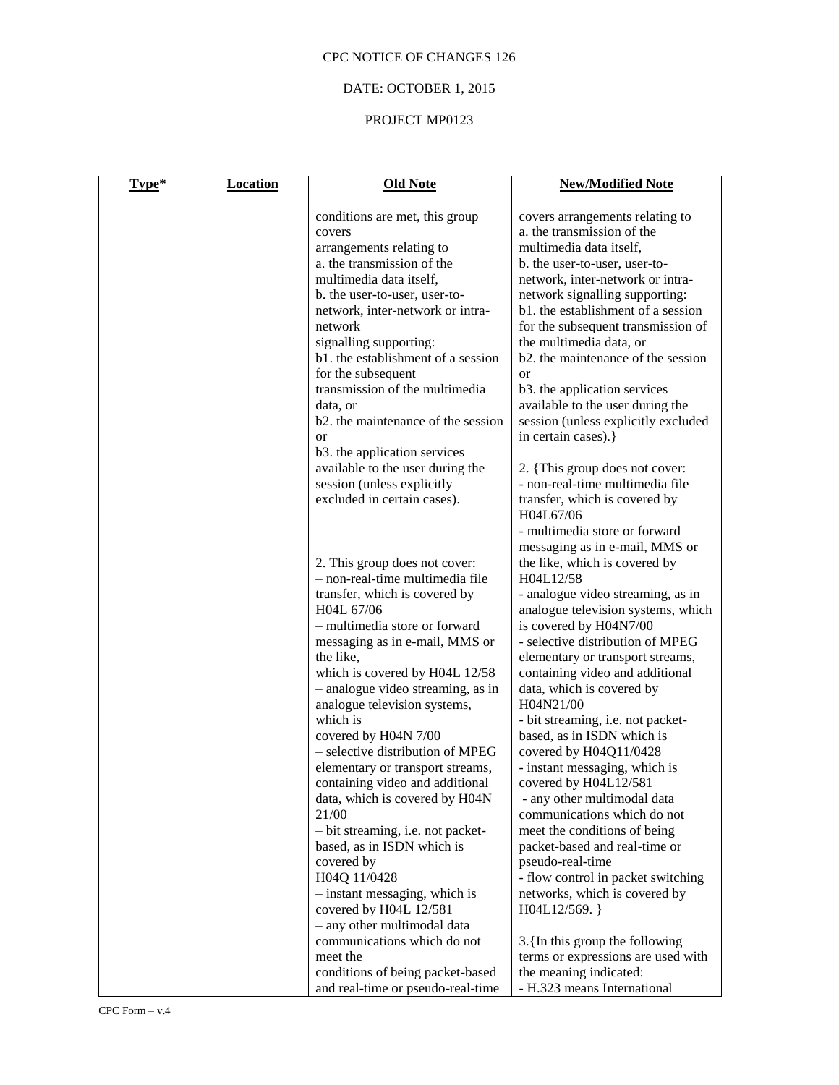# DATE: OCTOBER 1, 2015

# PROJECT MP0123

| Type* | <b>Location</b> | <b>Old Note</b>                                                                                                                                                                                                                                                                                                                                                                                                                                                          | <b>New/Modified Note</b>                                                                                                                                                                                                                                                                                                                                                                                                                                                                                                              |
|-------|-----------------|--------------------------------------------------------------------------------------------------------------------------------------------------------------------------------------------------------------------------------------------------------------------------------------------------------------------------------------------------------------------------------------------------------------------------------------------------------------------------|---------------------------------------------------------------------------------------------------------------------------------------------------------------------------------------------------------------------------------------------------------------------------------------------------------------------------------------------------------------------------------------------------------------------------------------------------------------------------------------------------------------------------------------|
|       |                 | conditions are met, this group<br>covers<br>arrangements relating to<br>a. the transmission of the<br>multimedia data itself,<br>b. the user-to-user, user-to-<br>network, inter-network or intra-<br>network<br>signalling supporting:<br>b1. the establishment of a session<br>for the subsequent<br>transmission of the multimedia<br>data, or<br>b2, the maintenance of the session<br><b>or</b><br>b3. the application services<br>available to the user during the | covers arrangements relating to<br>a. the transmission of the<br>multimedia data itself,<br>b. the user-to-user, user-to-<br>network, inter-network or intra-<br>network signalling supporting:<br>b1. the establishment of a session<br>for the subsequent transmission of<br>the multimedia data, or<br>b2. the maintenance of the session<br><b>or</b><br>b3. the application services<br>available to the user during the<br>session (unless explicitly excluded<br>in certain cases).}<br>2. {This group <u>does not cove</u> r: |
|       |                 | session (unless explicitly<br>excluded in certain cases).<br>2. This group does not cover:<br>- non-real-time multimedia file<br>transfer, which is covered by<br>H04L 67/06<br>- multimedia store or forward<br>messaging as in e-mail, MMS or<br>the like,<br>which is covered by H04L 12/58                                                                                                                                                                           | - non-real-time multimedia file<br>transfer, which is covered by<br>H04L67/06<br>- multimedia store or forward<br>messaging as in e-mail, MMS or<br>the like, which is covered by<br>H04L12/58<br>- analogue video streaming, as in<br>analogue television systems, which<br>is covered by H04N7/00<br>- selective distribution of MPEG<br>elementary or transport streams,<br>containing video and additional                                                                                                                        |
|       |                 | - analogue video streaming, as in<br>analogue television systems,<br>which is<br>covered by H04N 7/00<br>- selective distribution of MPEG<br>elementary or transport streams,<br>containing video and additional<br>data, which is covered by H04N<br>21/00                                                                                                                                                                                                              | data, which is covered by<br>H04N21/00<br>- bit streaming, i.e. not packet-<br>based, as in ISDN which is<br>covered by H04Q11/0428<br>- instant messaging, which is<br>covered by H04L12/581<br>- any other multimodal data<br>communications which do not<br>meet the conditions of being                                                                                                                                                                                                                                           |
|       |                 | - bit streaming, i.e. not packet-<br>based, as in ISDN which is<br>covered by<br>H04Q 11/0428<br>- instant messaging, which is<br>covered by H04L 12/581<br>- any other multimodal data<br>communications which do not<br>meet the<br>conditions of being packet-based<br>and real-time or pseudo-real-time                                                                                                                                                              | packet-based and real-time or<br>pseudo-real-time<br>- flow control in packet switching<br>networks, which is covered by<br>H04L12/569. }<br>3. {In this group the following<br>terms or expressions are used with<br>the meaning indicated:<br>- H.323 means International                                                                                                                                                                                                                                                           |